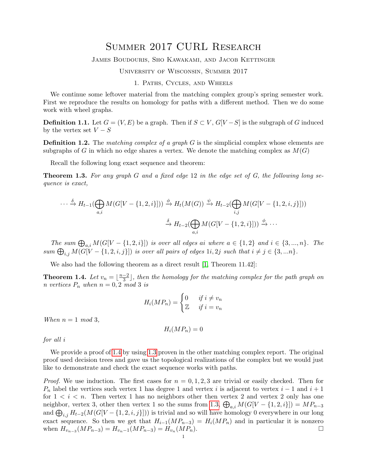# Summer 2017 CURL Research

#### James Boudouris, Sho Kawakami, and Jacob Kettinger

#### University of Wisconsin, Summer 2017

#### 1. Paths, Cycles, and Wheels

We continue some leftover material from the matching complex group's spring semester work. First we reproduce the results on homology for paths with a different method. Then we do some work with wheel graphs.

**Definition 1.1.** Let  $G = (V, E)$  be a graph. Then if  $S \subset V$ ,  $G[V - S]$  is the subgraph of G induced by the vertex set  $V-S$ 

**Definition 1.2.** The matching complex of a graph  $G$  is the simplicial complex whose elements are subgraphs of G in which no edge shares a vertex. We denote the matching complex as  $M(G)$ 

Recall the following long exact sequence and theorem:

<span id="page-0-1"></span>**Theorem 1.3.** For any graph G and a fixed edge 12 in the edge set of G, the following long sequence is exact,

$$
\cdots \xrightarrow{\delta} H_{t-1}(\bigoplus_{a,i} M(G[V - \{1, 2, i\}])) \xrightarrow{\phi} H_t(M(G)) \xrightarrow{\psi} H_{t-2}(\bigoplus_{i,j} M(G[V - \{1, 2, i, j\}]))
$$

$$
\xrightarrow{\delta} H_{t-2}(\bigoplus_{a,i} M(G[V - \{1, 2, i\}])) \xrightarrow{\phi} \cdots
$$

The sum  $\bigoplus_{a,i} M(G[V - \{1,2,i\}])$  is over all edges ai where  $a \in \{1,2\}$  and  $i \in \{3,...,n\}$ . The  $sum \bigoplus_{i,j} M(G[V - \{1, 2, i, j\}])$  is over all pairs of edges  $1i, 2j$  such that  $i \neq j \in \{3, ... n\}$ .

We also had the following theorem as a direct result [\[1,](#page-36-0) Theorem 11.42]:

<span id="page-0-0"></span>**Theorem 1.4.** Let  $v_n = \lfloor \frac{n-2}{3} \rfloor$  $\frac{-2}{3}$ , then the homology for the matching complex for the path graph on n vertices  $P_n$  when  $n = 0, 2 \mod 3$  is

$$
H_i(MP_n) = \begin{cases} 0 & \text{if } i \neq v_n \\ \mathbb{Z} & \text{if } i = v_n \end{cases}
$$

When  $n = 1 \mod 3$ ,

$$
H_i(MP_n)=0
$$

for all i

We provide a proof of [1.4](#page-0-0) by using [1.3](#page-0-1) proven in the other matching complex report. The original proof used decision trees and gave us the topological realizations of the complex but we would just like to demonstrate and check the exact sequence works with paths.

*Proof.* We use induction. The first cases for  $n = 0, 1, 2, 3$  are trivial or easily checked. Then for  $P_n$  label the vertices such vertex 1 has degree 1 and vertex i is adjacent to vertex  $i-1$  and  $i+1$ for  $1 \lt i \lt n$ . Then vertex 1 has no neighbors other then vertex 2 and vertex 2 only has one neighbor, vertex 3, other then vertex 1 so the sums from [1.3,](#page-0-1)  $\bigoplus_{a,i} M(G[V - \{1, 2, i\}]) = MP_{n-3}$ and  $\bigoplus_{i,j} H_{t-2}(M(G[V - \{1, 2, i, j\}]))$  is trivial and so will have homology 0 everywhere in our long exact sequence. So then we get that  $H_{i-1}(MP_{n-3}) = H_i(MP_n)$  and in particular it is nonzero when  $H_{v_{n-3}}(MP_{n-3}) = H_{v_n-1}(MP_{n-3}) = H_{v_n}(MP_n).$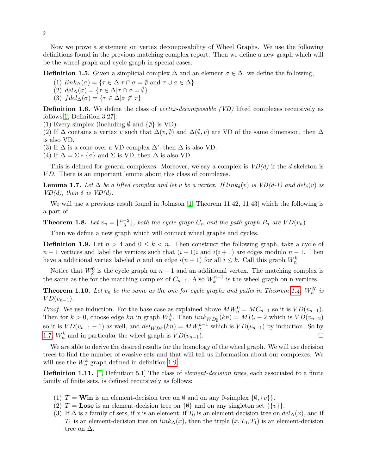Now we prove a statement on vertex decomposability of Wheel Graphs. We use the following definitions found in the previous matching complex report. Then we define a new graph which will be the wheel graph and cycle graph in special cases.

**Definition 1.5.** Given a simplicial complex  $\Delta$  and an element  $\sigma \in \Delta$ , we define the following,

(1) 
$$
link_{\Delta}(\sigma) = \{ \tau \in \Delta | \tau \cap \sigma = \emptyset \text{ and } \tau \cup \sigma \in \Delta \}
$$

(2)  $del_{\Delta}(\sigma) = {\tau \in \Delta | \tau \cap \sigma = \emptyset}$ 

(3)  $f del \Delta(\sigma) = {\tau \in \Delta | \sigma \not\subset \tau}$ 

**Definition 1.6.** We define the class of *vertex-decomposable (VD)* lifted complexes recursively as follows[\[1,](#page-36-0) Definition 3.27]:

(1) Every simplex (including  $\emptyset$  and  $\{\emptyset\}$  is VD).

(2) If  $\Delta$  contains a vertex v such that  $\Delta(v, \emptyset)$  and  $\Delta(\emptyset, v)$  are VD of the same dimension, then  $\Delta$ is also VD.

(3) If  $\Delta$  is a cone over a VD complex  $\Delta$ ', then  $\Delta$  is also VD.

(4) If  $\Delta = \Sigma * {\sigma}$  and  $\Sigma$  is VD, then  $\Delta$  is also VD.

This is defined for general complexes. Moreover, we say a complex is  $VD(d)$  if the d-skeleton is VD. There is an important lemma about this class of complexes.

<span id="page-1-0"></span>**Lemma 1.7.** Let  $\Delta$  be a lifted complex and let v be a vertex. If link<sub> $\delta$ </sub>(v) is VD(d-1) and del $_{\delta}$ (v) is VD(d), then  $\delta$  is VD(d).

We will use a previous result found in Johnson [\[1,](#page-36-0) Theorem 11.42, 11.43] which the following is a part of

Theorem 1.8. Let  $v_n = \lfloor \frac{n-2}{3} \rfloor$  $\frac{-2}{3}$ , both the cycle graph  $C_n$  and the path graph  $P_n$  are  $VD(v_n)$ 

Then we define a new graph which will connect wheel graphs and cycles.

<span id="page-1-1"></span>**Definition 1.9.** Let  $n > 4$  and  $0 \leq k \leq n$ . Then construct the following graph, take a cycle of  $n-1$  vertices and label the vertices such that  $(i-1)i$  and  $i(i+1)$  are edges modulo  $n-1$ . Then have a additional vertex labeled n and an edge  $i(n+1)$  for all  $i \leq k$ . Call this graph  $W_n^k$ 

Notice that  $W_k^0$  is the cycle graph on  $n-1$  and an additional vertex. The matching complex is the same as the for the matching complex of  $C_{n-1}$ . Also  $W_k^{n-1}$  is the wheel graph on n vertices.

**Theorem 1.10.** Let  $v_n$  be the same as the one for cycle graphs and paths in Theorem [1.4.](#page-0-0)  $W_n^K$  is  $VD(v_{n-1}).$ 

*Proof.* We use induction. For the base case as explained above  $MW_n^0 = MC_{n-1}$  so it is  $VD(v_{n-1})$ . Then for  $k > 0$ , choose edge kn in graph  $W_n^k$ . Then  $link_{WD_n^k}(kn) = MP_n - 2$  which is  $VD(v_{n-2})$ so it is  $VD(v_{n-1}-1)$  as well, and  $del_{WD_{n}^{k}}(kn) = MW_{n}^{k-1}$  which is  $VD(v_{n-1})$  by induction. So by [1.7,](#page-1-0)  $W_n^k$  and in particular the wheel graph is  $VD(v_{n-1})$ .

We are able to derive the desired results for the homology of the wheel graph. We will use decision trees to find the number of evasive sets and that will tell us information about our complexes. We will use the  $W_n^k$  graph defined in definition [1.9.](#page-1-1)

<span id="page-1-2"></span>Definition 1.11. [\[1,](#page-36-0) Definition 5.1] The class of element-decision trees, each associated to a finite family of finite sets, is defined recursively as follows:

- (1)  $T = \textbf{Win}$  is an element-decision tree on  $\emptyset$  and on any 0-simplex  $\{\emptyset, \{v\}\}.$
- (2)  $T = \text{Lose}$  is an element-decision tree on  $\{\emptyset\}$  and on any singleton set  $\{\{v\}\}.$
- (3) If  $\Delta$  is a family of sets, if x is an element, if  $T_0$  is an element-decision tree on  $del_{\Delta}(x)$ , and if  $T_1$  is an element-decision tree on  $link_{\Delta}(x)$ , then the triple  $(x, T_0, T_1)$  is an element-decision tree on  $\Delta$ .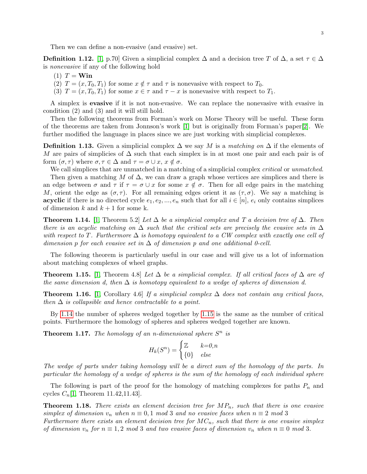Then we can define a non-evasive (and evasive) set.

<span id="page-2-4"></span>**Definition 1.12.** [\[1,](#page-36-0) p.70] Given a simplicial complex  $\Delta$  and a decision tree T of  $\Delta$ , a set  $\tau \in \Delta$ is nonevasive if any of the following hold

(1)  $T = \textbf{Win}$ 

(2)  $T = (x, T_0, T_1)$  for some  $x \notin \tau$  and  $\tau$  is nonevasive with respect to  $T_0$ .

(3)  $T = (x, T_0, T_1)$  for some  $x \in \tau$  and  $\tau - x$  is nonevasive with respect to  $T_1$ .

A simplex is evasive if it is not non-evasive. We can replace the nonevasive with evasive in condition  $(2)$  and  $(3)$  and it will still hold.

Then the following theorems from Forman's work on Morse Theory will be useful. These form of the theorems are taken from Jonnson's work [\[1\]](#page-36-0) but is originally from Forman's paper[\[2\]](#page-36-1). We further modified the language in places since we are just working with simplicial complexes.

**Definition 1.13.** Given a simplicial complex  $\Delta$  we say M is a matching on  $\Delta$  if the elements of M are pairs of simplicies of  $\Delta$  such that each simplex is in at most one pair and each pair is of form  $(\sigma, \tau)$  where  $\sigma, \tau \in \Delta$  and  $\tau = \sigma \cup x, x \notin \sigma$ .

We call simplices that are unmatched in a matching of a simplicial complex *critical* or *unmatched*. Then given a matching M of  $\Delta$ , we can draw a graph whose vertices are simplices and there is an edge between  $\sigma$  and  $\tau$  if  $\tau = \sigma \cup x$  for some  $x \notin \sigma$ . Then for all edge pairs in the matching M, orient the edge as  $(\sigma, \tau)$ . For all remaining edges orient it as  $(\tau, \sigma)$ . We say a matching is **acyclic** if there is no directed cycle  $e_1, e_2, ..., e_n$  such that for all  $i \in [n]$ ,  $e_i$  only contains simplices of dimension k and  $k + 1$  for some k.

<span id="page-2-0"></span>**Theorem 1.14.** [\[1,](#page-36-0) Theorem 5.2] Let  $\Delta$  be a simplicial complex and T a decision tree of  $\Delta$ . Then there is an acyclic matching on  $\Delta$  such that the critical sets are precisely the evasive sets in  $\Delta$ with respect to T. Furthermore  $\Delta$  is homotopy equivalent to a CW complex with exactly one cell of dimension p for each evasive set in  $\Delta$  of dimension p and one additional 0-cell.

The following theorem is particularly useful in our case and will give us a lot of information about matching complexes of wheel graphs.

<span id="page-2-1"></span>**Theorem 1.15.** [\[1,](#page-36-0) Theorem 4.8] Let  $\Delta$  be a simplicial complex. If all critical faces of  $\Delta$  are of the same dimension d, then  $\Delta$  is homotopy equivalent to a wedge of spheres of dimension d.

**Theorem 1.16.** [\[1,](#page-36-0) Corollary 4.6] If a simplicial complex  $\Delta$  does not contain any critical faces, then  $\Delta$  is collapsible and hence contractable to a point.

By [1.14](#page-2-0) the number of spheres wedged together by [1.15](#page-2-1) is the same as the number of critical points. Furthermore the homology of spheres and spheres wedged together are known.

<span id="page-2-3"></span>**Theorem 1.17.** The homology of an n-dimensional sphere  $S<sup>n</sup>$  is

$$
H_k(S^n) = \begin{cases} \mathbb{Z} & k=0, n \\ \{0\} & else \end{cases}
$$

The wedge of parts under taking homology will be a direct sum of the homology of the parts. In particular the homology of a wedge of spheres is the sum of the homology of each individual sphere

The following is part of the proof for the homology of matching complexes for paths  $P_n$  and cycles  $C_n[1,$  $C_n[1,$  Theorem 11.42,11.43].

<span id="page-2-2"></span>**Theorem 1.18.** There exists an element decision tree for  $MP_n$ , such that there is one evasive simplex of dimension  $v_n$  when  $n \equiv 0, 1 \mod 3$  and no evasive faces when  $n \equiv 2 \mod 3$ Furthermore there exists an element decision tree for  $MC_n$ , such that there is one evasive simplex of dimension  $v_n$  for  $n \equiv 1, 2 \mod 3$  and two evasive faces of dimension  $v_n$  when  $n \equiv 0 \mod 3$ .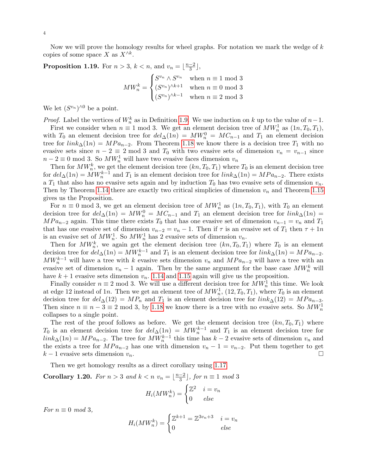Now we will prove the homology results for wheel graphs. For notation we mark the wedge of  $k$ copies of some space X as  $X^{\wedge k}$ .

**Proposition 1.19.** For  $n > 3$ ,  $k < n$ , and  $v_n = \lfloor \frac{n-2}{3} \rfloor$  $\frac{-2}{3}$ ,

$$
MW_n^k = \begin{cases} S^{v_n} \wedge S^{v_n} & \text{when } n \equiv 1 \text{ mod } 3\\ (S^{v_n})^{\wedge k+1} & \text{when } n \equiv 0 \text{ mod } 3\\ (S^{v_n})^{\wedge k-1} & \text{when } n \equiv 2 \text{ mod } 3 \end{cases}
$$

We let  $(S^{v_n})^{\wedge 0}$  be a point.

*Proof.* Label the vertices of  $W_n^k$  as in Definition [1.9.](#page-1-1) We use induction on k up to the value of  $n-1$ .

First we consider when  $n \equiv 1 \mod 3$ . We get an element decision tree of  $MW_n^1$  as  $(1n, T_0, T_1)$ , with  $T_0$  an element decision tree for  $del_\Delta(1n) = MW_n^0 = MC_{n-1}$  and  $T_1$  an element decision tree for  $link_{\Delta}(1n) = MPa_{n-2}$ . From Theorem [1.18](#page-2-2) we know there is a decision tree  $T_1$  with no evasive sets since  $n - 2 \equiv 2 \mod 3$  and  $T_0$  with two evasive sets of dimension  $v_n = v_{n-1}$  since  $n-2 \equiv 0 \mod 3$ . So  $MW_n^1$  will have two evasive faces dimension  $v_n$ 

Then for  $MW_n^k$ , we get the element decision tree  $(kn, T_0, T_1)$  where  $T_0$  is an element decision tree for  $del_\Delta(1n) = MW_n^{k-1}$  and  $T_1$  is an element decision tree for  $link_\Delta(1n) = MPa_{n-2}$ . There exists a  $T_1$  that also has no evasive sets again and by induction  $T_0$  has two evasive sets of dimension  $v_n$ . Then by Theorem [1.14](#page-2-0) there are exactly two critical simplicies of dimension  $v_n$  and Theorem [1.15](#page-2-1) gives us the Proposition.

For  $n \equiv 0 \mod 3$ , we get an element decision tree of  $MW_n^1$  as  $(1n, T_0, T_1)$ , with  $T_0$  an element decision tree for  $del_{\Delta}(1n) = MW_n^0 = MC_{n-1}$  and  $T_1$  an element decision tree for  $link_{\Delta}(1n) =$  $MPa_{n-2}$  again. This time there exists  $T_0$  that has one evasive set of dimension  $v_{n-1} = v_n$  and  $T_1$ that has one evasive set of dimension  $v_{n-2} = v_n - 1$ . Then if  $\tau$  is an evasive set of  $T_1$  then  $\tau + 1n$ is an evasive set of  $MW_n^1$ . So  $MW_n^1$  has 2 evasive sets of dimension  $v_n$ .

Then for  $MW_n^k$ , we again get the element decision tree  $(kn, T_0, T_1)$  where  $T_0$  is an element decision tree for  $del_\Delta(1n) = MW_n^{k-1}$  and  $T_1$  is an element decision tree for  $link_\Delta(1n) = MPa_{n-2}$ .  $MW_n^{k-1}$  will have a tree with k evasive sets dimension  $v_n$  and  $MP_{n-2}$  will have a tree with an evasive set of dimension  $v_n - 1$  again. Then by the same argument for the base case  $MW_n^k$  will have  $k + 1$  evasive sets dimension  $v_n$ . [1.14](#page-2-0) and [1.15](#page-2-1) again will give us the proposition.

Finally consider  $n \equiv 2 \mod 3$ . We will use a different decision tree for  $MW_n^1$  this time. We look at edge 12 instead of 1n. Then we get an element tree of  $MW_n^1$ ,  $(12, T_0, T_1)$ , where  $T_0$  is an element decision tree for  $del_\Delta(12) = MP_n$  and  $T_1$  is an element decision tree for  $link_\Delta(12) = MPa_{n-3}$ . Then since  $n \equiv n - 3 \equiv 2 \mod 3$ , by [1.18](#page-2-2) we know there is a tree with no evasive sets. So  $MW_n^1$ collapses to a single point.

The rest of the proof follows as before. We get the element decision tree  $(kn, T_0, T_1)$  where  $T_0$  is an element decision tree for  $del_\Delta(1n) = MW_n^{k-1}$  and  $T_1$  is an element decision tree for  $link_{\Delta}(1n) = MPa_{n-2}$ . The tree for  $MW_n^{k-1}$  this time has  $k-2$  evasive sets of dimension  $v_n$  and the exists a tree for  $MPa_{n-2}$  has one with dimension  $v_n - 1 = v_{n-2}$ . Put them together to get  $k-1$  evasive sets dimension  $v_n$ .

Then we get homology results as a direct corollary using [1.17.](#page-2-3)

Corollary 1.20. For  $n > 3$  and  $k < n$   $v_n = \lfloor \frac{n-2}{3} \rfloor$  $\left[\frac{-2}{3}\right]$ , for  $n \equiv 1 \mod 3$ 

$$
H_i(MW_n^k) = \begin{cases} \mathbb{Z}^2 & i = v_n \\ 0 & else \end{cases}
$$

For  $n \equiv 0 \mod 3$ ,

$$
H_i(MW_n^k) = \begin{cases} \mathbb{Z}^{k+1} = \mathbb{Z}^{3v_n+3} & i = v_n \\ 0 & else \end{cases}
$$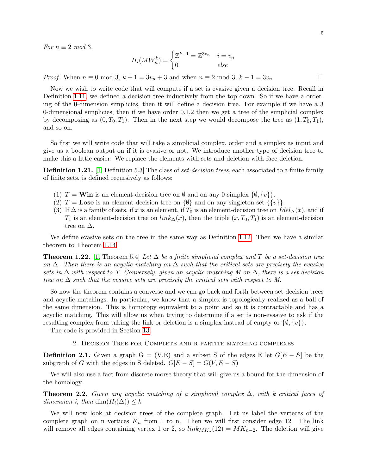For  $n \equiv 2 \mod 3$ ,

$$
H_i(MW_n^k) = \begin{cases} \mathbb{Z}^{k-1} = \mathbb{Z}^{3v_n} & i = v_n \\ 0 & else \end{cases}
$$

*Proof.* When  $n \equiv 0 \mod 3$ ,  $k + 1 = 3v_n + 3$  and when  $n \equiv 2 \mod 3$ ,  $k - 1 = 3v_n$ 

Now we wish to write code that will compute if a set is evasive given a decision tree. Recall in Definition [1.11,](#page-1-2) we defined a decision tree inductively from the top down. So if we have a ordering of the 0-dimension simplicies, then it will define a decision tree. For example if we have a 3 0-dimensional simplicies, then if we have order 0,1,2 then we get a tree of the simplicial complex by decomposing as  $(0, T_0, T_1)$ . Then in the next step we would decompose the tree as  $(1, T_0, T_1)$ , and so on.

So first we will write code that will take a simplicial complex, order and a simplex as input and give us a boolean output on if it is evasive or not. We introduce another type of decision tree to make this a little easier. We replace the elements with sets and deletion with face deletion.

**Definition 1.21.** [\[1,](#page-36-0) Definition 5.3] The class of *set-decision trees*, each associated to a finite family of finite sets, is defined recursively as follows:

- (1)  $T = \textbf{Win}$  is an element-decision tree on  $\emptyset$  and on any 0-simplex  $\{\emptyset, \{v\}\}.$
- (2)  $T = \text{Loss}$  is an element-decision tree on  $\{\emptyset\}$  and on any singleton set  $\{\{v\}\}.$
- (3) If  $\Delta$  is a family of sets, if x is an element, if  $T_0$  is an element-decision tree on  $fdel_{\Delta}(x)$ , and if  $T_1$  is an element-decision tree on  $link_{\Delta}(x)$ , then the triple  $(x, T_0, T_1)$  is an element-decision tree on  $\Delta$ .

We define evasive sets on the tree in the same way as Definition [1.12.](#page-2-4) Then we have a similar theorem to Theorem [1.14.](#page-2-0)

**Theorem 1.22.** [\[1,](#page-36-0) Theorem 5.4] Let  $\Delta$  be a finite simplicial complex and T be a set-decision tree on  $\Delta$ . Then there is an acyclic matching on  $\Delta$  such that the critical sets are precisely the evasive sets in  $\Delta$  with respect to T. Conversely, given an acyclic matching M on  $\Delta$ , there is a set-decision tree on  $\Delta$  such that the evasive sets are precisely the critical sets with respect to M.

So now the theorem contains a converse and we can go back and forth between set-decision trees and acyclic matchings. In particular, we know that a simplex is topologically realized as a ball of the same dimension. This is homotopy equivalent to a point and so it is contractable and has a acyclic matching. This will allow us when trying to determine if a set is non-evasive to ask if the resulting complex from taking the link or deletion is a simplex instead of empty or  $\{\emptyset, \{v\}\}.$ 

The code is provided in Section [13.](#page-28-0)

2. Decision Tree for Complete and r-partite matching complexes

**Definition 2.1.** Given a graph  $G = (V, E)$  and a subset S of the edges E let  $G[E - S]$  be the subgraph of G with the edges in S deleted.  $G[E-S] = G(V, E-S)$ 

We will also use a fact from discrete morse theory that will give us a bound for the dimension of the homology.

**Theorem 2.2.** Given any acyclic matching of a simplicial complex  $\Delta$ , with k critical faces of dimension i, then dim $(H_i(\Delta)) \leq k$ 

We will now look at decision trees of the complete graph. Let us label the verteces of the complete graph on n vertices  $K_n$  from 1 to n. Then we will first consider edge 12. The link will remove all edges containing vertex 1 or 2, so  $link_{MK_n}(12) = MK_{n-2}$ . The deletion will give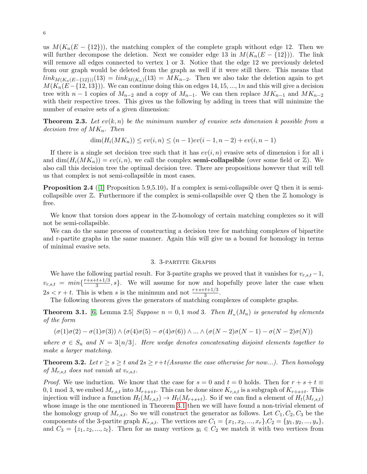us  $M(K_n(E - \{12\}))$ , the matching complex of the complete graph without edge 12. Then we will further decompose the deletion. Next we consider edge 13 in  $M(K_n(E - \{12\}))$ . The link will remove all edges connected to vertex 1 or 3. Notice that the edge 12 we previously deleted from our graph would be deleted from the graph as well if it were still there. This means that  $link_{M(K_n(E - \{12\}))}(13) = link_{M(K_n)}(13) = MK_{n-2}$ . Then we also take the deletion again to get  $M(K_n(E-\{12, 13\}))$ . We can continue doing this on edges 14, 15, ..., 1n and this will give a decision tree with  $n-1$  copies of  $M_{n-2}$  and a copy of  $M_{n-1}$ . We can then replace  $MK_{n-1}$  and  $MK_{n-2}$ with their respective trees. This gives us the following by adding in trees that will minimize the number of evasive sets of a given dimension:

**Theorem 2.3.** Let  $ev(k, n)$  be the minimum number of evasive sets dimension k possible from a decision tree of  $MK_n$ . Then

$$
\dim(H_i(MK_n)) \le ev(i,n) \le (n-1)ev(i-1,n-2) + ev(i,n-1)
$$

If there is a single set decision tree such that it has  $ev(i, n)$  evasive sets of dimension i for all i and  $\dim(H_i(MK_n)) = ev(i, n)$ , we call the complex **semi-collapsible** (over some field or  $\mathbb{Z}$ ). We also call this decision tree the optimal decision tree. There are propositions however that will tell us that complex is not semi-collapsible in most cases.

**Proposition 2.4** ([\[1\]](#page-36-0) Proposition 5.9,5.10). If a complex is semi-collapsible over  $\mathbb Q$  then it is semicollapsible over  $\mathbb{Z}$ . Furthermore if the complex is semi-collapsible over  $\mathbb{Q}$  then the  $\mathbb{Z}$  homology is free.

We know that torsion does appear in the Z-homology of certain matching complexes so it will not be semi-collapsible.

We can do the same process of constructing a decision tree for matching complexes of bipartite and r-partite graphs in the same manner. Again this will give us a bound for homology in terms of minimal evasive sets.

#### 3. 3-partite Graphs

We have the following partial result. For 3-partite graphs we proved that it vanishes for  $v_{r,s,t} - 1$ ,  $v_{r,s,t} = min\{\frac{r+s+t+1/3}{3}$  $\frac{x+1}{3}, s$ . We will assume for now and hopefully prove later the case when  $2s < r + t$ . This is when s is the minimum and not  $\frac{r+s+t+1/3}{3}$ .

The following theorem gives the generators of matching complexes of complete graphs.

<span id="page-5-0"></span>**Theorem 3.1.** [\[6,](#page-36-2) Lemma 2.5] Suppose  $n = 0, 1 \mod 3$ . Then  $H_n(M_n)$  is generated by elements of the form

$$
(\sigma(1)\sigma(2)-\sigma(1)\sigma(3))\wedge (\sigma(4)\sigma(5)-\sigma(4)\sigma(6))\wedge\ldots\wedge (\sigma(N-2)\sigma(N-1)-\sigma(N-2)\sigma(N))
$$

where  $\sigma \in S_n$  and  $N = 3\vert n/3\vert$ . Here wedge denotes concatenating disjoint elements together to make a larger matching.

**Theorem 3.2.** Let  $r \geq s \geq t$  and  $2s \geq r+t$  (Assume the case otherwise for now...). Then homology of  $M_{r,s,t}$  does not vanish at  $v_{r,s,t}$ .

*Proof.* We use induction. We know that the case for  $s = 0$  and  $t = 0$  holds. Then for  $r + s + t \equiv$ 0, 1 mod 3, we embed  $M_{r,s,t}$  into  $M_{r+s+t}$ . This can be done since  $K_{r,s,t}$  is a subgraph of  $K_{r+s+t}$ . This injection will induce a function  $H_t(M_{r,s,t}) \to H_t(M_{r+s+t})$ . So if we can find a element of  $H_t(M_{r,s,t})$ whose image is the one mentioned in Theorem [3.1](#page-5-0) then we will have found a non-trivial element of the homology group of  $M_{r,s,t}$ . So we will construct the generator as follows. Let  $C_1, C_2, C_3$  be the components of the 3-partite graph  $K_{r,s,t}$ . The vertices are  $C_1 = \{x_1, x_2, ..., x_r\}$ ,  $C_2 = \{y_1, y_2, ..., y_s\}$ , and  $C_3 = \{z_1, z_2, ..., z_t\}$ . Then for as many vertices  $y_i \in C_2$  we match it with two vertices from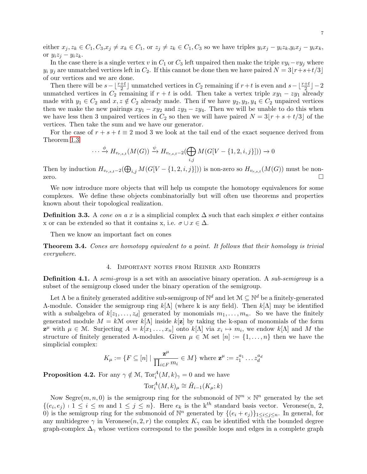either  $x_j, z_k \in C_1, C_3, x_j \neq x_k \in C_1$ , or  $z_j \neq z_k \in C_1, C_3$  so we have triples  $y_i x_j - y_i z_k, y_i x_j - y_i x_k$ , or  $y_iz_j - y_iz_k$ .

In the case there is a single vertex v in  $C_1$  or  $C_3$  left unpaired then make the triple  $vy_i-vy_j$  where  $y_i$   $y_j$  are unmatched vertices left in  $C_2$ . If this cannot be done then we have paired  $N = 3(r+s+t/3)$ of our vertices and we are done.

Then there will be  $s - \lfloor \frac{r+t}{2} \rfloor$  unmatched vertices in  $C_2$  remaining if  $r+t$  is even and  $s-\lfloor \frac{r+t}{2} \rfloor - 2$ unmatched vertices in  $C_2$  remaining if  $r + t$  is odd. Then take a vertex triple  $xy_1 - zy_1$  already made with  $y_1 \in C_2$  and  $x, z \notin C_2$  already made. Then if we have  $y_2, y_3, y_4 \in C_2$  unpaired vertices then we make the new pairings  $xy_1 - xy_2$  and  $zy_3 - zy_4$ . Then we will be unable to do this when we have less then 3 unpaired vertices in  $C_2$  so then we will have paired  $N = 3[r + s + t/3]$  of the vertices. Then take the sum and we have our generator.

For the case of  $r + s + t \equiv 2 \mod 3$  we look at the tail end of the exact sequence derived from Theorem [1.3](#page-0-1)

$$
\cdots \xrightarrow{\phi} H_{v_{r,s,t}}(M(G)) \xrightarrow{\psi} H_{v_{r,s,t}-2}(\bigoplus_{i,j} M(G[V - \{1, 2, i, j\}])) \to 0
$$

Then by induction  $H_{v_{r,s,t}-2}(\bigoplus_{i,j} M(G[V - \{1,2,i,j\}]))$  is non-zero so  $H_{v_{r,s,t}}(M(G))$  must be nonzero.  $\square$ 

We now introduce more objects that will help us compute the homotopy equivalences for some complexes. We define these objects combinatorially but will often use theorems and properties known about their topological realization.

<span id="page-6-0"></span>**Definition 3.3.** A cone on a x is a simplicial complex  $\Delta$  such that each simplex  $\sigma$  either contains x or can be extended so that it contains x, i.e.  $\sigma \cup x \in \Delta$ .

Then we know an important fact on cones

<span id="page-6-1"></span>Theorem 3.4. Cones are homotopy equivalent to a point. It follows that their homology is trivial everywhere.

#### 4. Important notes from Reiner and Roberts

<span id="page-6-2"></span>**Definition 4.1.** A semi-group is a set with an associative binary operation. A sub-semigroup is a subset of the semigroup closed under the binary operation of the semigroup.

Let  $\Lambda$  be a finitely generated additive sub-semigroup of  $\mathbb{N}^d$  and let  $\mathcal{M} \subseteq \mathbb{N}^d$  be a finitely-generated Λ-module. Consider the semigroup ring  $k[\Lambda]$  (where k is any field). Then  $k[\Lambda]$  may be identified with a subalgebra of  $k[z_1, \ldots, z_d]$  generated by monomials  $m_1, \ldots, m_n$ . So we have the finitely generated module  $M = k\mathcal{M}$  over  $k[\Lambda]$  inside  $k[\mathbf{z}]$  by taking the k-span of monomials of the form  $\mathbf{z}^{\mu}$  with  $\mu \in \mathcal{M}$ . Surjecting  $A = k[x_1, \ldots, x_n]$  onto  $k[\Lambda]$  via  $x_i \mapsto m_i$ , we endow  $k[\Lambda]$  and M the structure of finitely generated A-modules. Given  $\mu \in \mathcal{M}$  set  $[n] := \{1, \ldots, n\}$  then we have the simplicial complex:

$$
K_{\mu} := \{ F \subseteq [n] \mid \frac{\mathbf{z}^{\mu}}{\prod_{i \in F} m_i} \in M \} \text{ where } \mathbf{z}^{\mu} := z_1^{a_1} \dots z_d^{a_d}
$$

**Proposition 4.2.** For any  $\gamma \notin \mathcal{M}$ ,  $Tor_i^A(M, k)_{\gamma} = 0$  and we have

$$
\operatorname{Tor}_i^A(M,k)_{\mu} \cong \tilde{H}_{i-1}(K_{\mu};k)
$$

Now Segre $(m, n, 0)$  is the semigroup ring for the submonoid of  $\mathbb{N}^m \times \mathbb{N}^n$  generated by the set  $\{(e_i, e_j) : 1 \le i \le m \text{ and } 1 \le j \le n\}.$  Here  $e_k$  is the k<sup>th</sup> standard basis vector. Veronese(n, 2, 0) is the semigroup ring for the submonoid of  $\mathbb{N}^n$  generated by  $\{(e_i + e_j)\}_{1 \leq i \leq j \leq n}$ . In general, for any multidegree  $\gamma$  in Veronese $(n, 2, r)$  the complex  $K_{\gamma}$  can be identified with the bounded degree graph-complex  $\Delta_{\gamma}$  whose vertices correspond to the possible loops and edges in a complete graph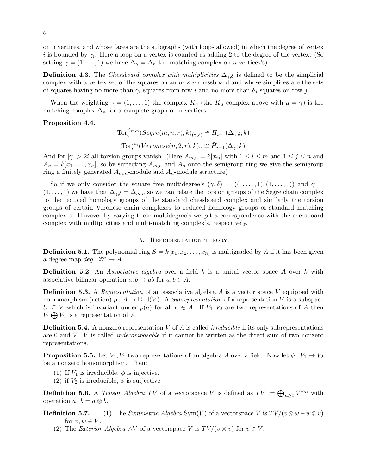on n vertices, and whose faces are the subgraphs (with loops allowed) in which the degree of vertex *i* is bounded by  $\gamma_i$ . Here a loop on a vertex is counted as adding 2 to the degree of the vertex. (So setting  $\gamma = (1, \ldots, 1)$  we have  $\Delta_{\gamma} = \Delta_n$  the matching complex on n vertices's).

<span id="page-7-0"></span>**Definition 4.3.** The Chessboard complex with multiplicities  $\Delta_{\gamma,\delta}$  is defined to be the simplicial complex with a vertex set of the squares on an  $m \times n$  chessboard and whose simplices are the sets of squares having no more than  $\gamma_i$  squares from row i and no more than  $\delta_j$  squares on row j.

When the weighting  $\gamma = (1, \ldots, 1)$  the complex  $K_{\gamma}$  (the  $K_{\mu}$  complex above with  $\mu = \gamma$ ) is the matching complex  $\Delta_n$  for a complete graph on n vertices.

#### <span id="page-7-1"></span>Proposition 4.4.

$$
\operatorname{Tor}_{i}^{A_{m,n}}(Segre(m,n,r),k)_{(\gamma,\delta)} \cong \tilde{H}_{i-1}(\Delta_{\gamma,\delta};k)
$$

$$
\operatorname{Tor}_{i}^{A_n}(Veronese(n,2,r),k)_{\gamma} \cong \tilde{H}_{i-1}(\Delta_{\gamma};k)
$$

And for  $|\gamma| > 2i$  all torsion groups vanish. (Here  $A_{m,n} = k[x_{ij}]$  with  $1 \le i \le m$  and  $1 \le j \le n$  and  $A_n = k[x_1, \ldots, x_n]$ , so by surjecting  $A_{m,n}$  and  $A_n$  onto the semigroup ring we give the semigroup ring a finitely generated  $A_{m,n}$ -module and  $A_n$ -module structure)

So if we only consider the square free multidegree's  $(\gamma, \delta) = ((1, \ldots, 1), (1, \ldots, 1))$  and  $\gamma =$  $(1,\ldots,1)$  we have that  $\Delta_{\gamma,\delta} = \Delta_{m,n}$  so we can relate the torsion groups of the Segre chain complex to the reduced homology groups of the standard chessboard complex and similarly the torsion groups of certain Veronese chain complexes to reduced homology groups of standard matching complexes. However by varying these multidegree's we get a correspondence with the chessboard complex with multiplicities and multi-matching complex's, respectively.

#### 5. Representation theory

**Definition 5.1.** The polynomial ring  $S = k[x_1, x_2, \ldots, x_n]$  is multigraded by A if it has been given a degree map  $deg: \mathbb{Z}^n \to A$ .

**Definition 5.2.** An *Associative algebra* over a field  $k$  is a unital vector space A over k with associative bilinear operation  $a, b \mapsto ab$  for  $a, b \in A$ .

**Definition 5.3.** A *Representation* of an associative algebra A is a vector space V equipped with homomorphism (action)  $\rho: A \to \text{End}(V)$ . A *Subrepresentation* of a representation V is a subspace  $U \subseteq V$  which is invariant under  $\rho(a)$  for all  $a \in A$ . If  $V_1, V_2$  are two representations of A then  $V_1 \bigoplus V_2$  is a representation of A.

**Definition 5.4.** A nonzero representation  $V$  of  $\tilde{A}$  is called *irreducible* if its only subrepresentations are 0 and  $V$ .  $V$  is called *indecomposable* if it cannot be written as the direct sum of two nonzero representations.

**Proposition 5.5.** Let  $V_1, V_2$  two representations of an algebra A over a field. Now let  $\phi: V_1 \to V_2$ be a nonzero homomorphism. Then:

- (1) If  $V_1$  is irreducible,  $\phi$  is injective.
- (2) if  $V_2$  is irreducible,  $\phi$  is surjective.

**Definition 5.6.** A Tensor Algebra TV of a vector space V is defined as  $TV := \bigoplus_{n\geq 0} V^{\otimes n}$  with operation  $a \cdot b = a \otimes b$ .

**Definition 5.7.** (1) The Symmetric Algebra Sym(V) of a vectorspace V is  $TV/((v \otimes w - w \otimes v))$ for  $v, w \in V$ .

(2) The Exterior Algebra  $\wedge V$  of a vector space V is  $TV/(v \otimes v)$  for  $v \in V$ .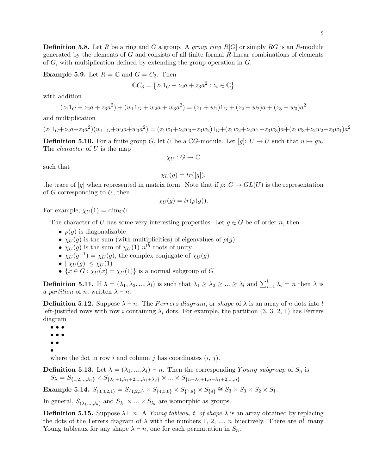**Definition 5.8.** Let R be a ring and G a group. A group ring  $R[G]$  or simply RG is an R-module generated by the elements of  $G$  and consists of all finite formal  $R$ -linear combinations of elements of G, with multiplication defined by extending the group operation in G.

**Example 5.9.** Let  $R = \mathbb{C}$  and  $G = C_3$ . Then

$$
\mathbb{C}C_3 = \{z_11_G + z_2a + z_3a^2 : z_i \in \mathbb{C}\}
$$

with addition

$$
(z_11_G + z_2a + z_3a^2) + (w_11_G + w_2a + w_3a^2) = (z_1 + w_1)1_G + (z_2 + w_2)a + (z_3 + w_3)a^2
$$

and multiplication

$$
(z_11_G + z_2a + z_3a^2)(w_11_G + w_2a + w_3a^2) = (z_1w_1 + z_2w_3 + z_3w_2)1_G + (z_1w_2 + z_2w_1 + z_3w_3)a + (z_1w_3 + z_2w_2 + z_3w_1)a^2
$$

**Definition 5.10.** For a finite group G, let U be a  $\mathbb{C}G$ -module. Let  $[g]: U \to U$  such that  $u \mapsto gu$ . The *character* of U is the map

 $\chi_U: G \to \mathbb{C}$ 

such that

$$
\chi_U(g)=tr([g]),
$$

the trace of [g] when represented in matrix form. Note that if  $\rho: G \to GL(U)$  is the representation of  $G$  corresponding to  $U$ , then

$$
\chi_U(g) = tr(\rho(g)).
$$

For example,  $\chi_U(1) = \dim_{\mathbb{C}} U$ .

The character of U has some very interesting properties. Let  $g \in G$  be of order n, then

- $\rho(g)$  is diagonalizable
- $\chi_U(g)$  is the sum (with multiplicities) of eigenvalues of  $\rho(g)$
- $\chi_U(g)$  is the sum of  $\chi_U(1)$   $n^{th}$  roots of unity
- $\chi_U(g^{-1}) = \overline{\chi_U(g)}$ , the complex conjugate of  $\chi_U(g)$
- $|\chi_U(g)| \leq \chi_U(1)$
- $\{x \in G : \chi_U(x) = \chi_U(1)\}$  is a normal subgroup of G

**Definition 5.11.** If  $\lambda = (\lambda_1, \lambda_2, ..., \lambda_l)$  is such that  $\lambda_1 \geq \lambda_2 \geq ... \geq \lambda_l$  and  $\sum_{i=1}^l \lambda_i = n$  then  $\lambda$  is a partition of n, written  $\lambda \vdash n$ .

**Definition 5.12.** Suppose  $\lambda \vdash n$ . The Ferrers diagram, or shape of  $\lambda$  is an array of n dots into l left-justified rows with row i containing  $\lambda_i$  dots. For example, the partition  $(3, 3, 2, 1)$  has Ferrers diagram

- • • • •
- •
- •

where the dot in row i and column j has coordinates  $(i, j)$ .

**Definition 5.13.** Let  $\lambda = (\lambda_1, ..., \lambda_l) \vdash n$ . Then the corresponding Young subgroup of  $S_n$  is  $S_{\lambda} = S_{\{1,2,\ldots,\lambda_1\}} \times S_{\{\lambda_1+1,\lambda_1+2,\ldots,\lambda_1+\lambda_2\}} \times \ldots \times S_{\{n-\lambda_1+1,n-\lambda_1+2,\ldots,n\}}.$ 

Example 5.14.  $S_{(3,3,2,1)} = S_{\{1,2,3\}} \times S_{\{4,5,6\}} \times S_{\{7,8\}} \times S_{\{9\}} \cong S_3 \times S_3 \times S_2 \times S_1$ .

In general,  $S_{(\lambda_1,\dots,\lambda_l)}$  and  $S_{\lambda_1} \times \dots \times S_{\lambda_l}$  are isomorphic as groups.

**Definition 5.15.** Suppose  $\lambda \vdash n$ . A *Young tableau, t, of shape*  $\lambda$  is an array obtained by replacing the dots of the Ferrers diagram of  $\lambda$  with the numbers 1, 2, ..., n bijectively. There are n! many Young tableaux for any shape  $\lambda \vdash n$ , one for each permutation in  $S_n$ .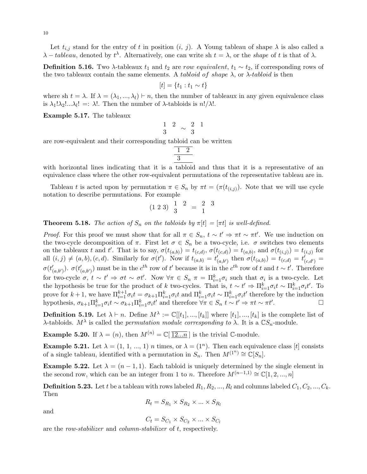Let  $t_{i,j}$  stand for the entry of t in position  $(i, j)$ . A Young tableau of shape  $\lambda$  is also called a  $\lambda - tableau$ , denoted by  $t^{\lambda}$ . Alternatively, one can write sh  $t = \lambda$ , or the *shape* of t is that of  $\lambda$ .

**Definition 5.16.** Two  $\lambda$ -tableaux  $t_1$  and  $t_2$  are row equivalent,  $t_1 \sim t_2$ , if corresponding rows of the two tableaux contain the same elements. A tabloid of shape  $\lambda$ , or  $\lambda$ -tabloid is then

$$
[t] = \{t_1 : t_1 \sim t\}
$$

where sh  $t = \lambda$ . If  $\lambda = (\lambda_1, ..., \lambda_l) \vdash n$ , then the number of tableaux in any given equivalence class is  $\lambda_1! \lambda_2! \ldots \lambda_l! =: \lambda!$ . Then the number of  $\lambda$ -tabloids is  $n!/\lambda!$ .

Example 5.17. The tableaux

$$
\begin{smallmatrix}1&2\\3&\end{smallmatrix}\sim\begin{smallmatrix}2&1\\3\end{smallmatrix}
$$

are row-equivalent and their corresponding tabloid can be written

$$
\frac{1}{3} \underline{2}
$$

with horizontal lines indicating that it is a tabloid and thus that it is a representative of an equivalence class where the other row-equivalent permutations of the representative tableau are in.

Tableau t is acted upon by permutation  $\pi \in S_n$  by  $\pi t = (\pi(t_{(i,j)})$ . Note that we will use cycle notation to describe permutations. For example

$$
(1\; 2\; 3)\;\;\frac{1}{3}\;\;\frac{2}{2}\;\;=\;\frac{2}{1}\;\;\frac{3}{4}
$$

**Theorem 5.18.** The action of  $S_n$  on the tabloids by  $\pi[t] = [\pi t]$  is well-defined.

*Proof.* For this proof we must show that for all  $\pi \in S_n$ ,  $t \sim t' \Rightarrow \pi t \sim \pi t'$ . We use induction on the two-cycle decomposition of  $\pi$ . First let  $\sigma \in S_n$  be a two-cycle, i.e.  $\sigma$  switches two elements on the tableaux t and t'. That is to say,  $\sigma(t_{(a,b)}) = t_{(c,d)}, \sigma(t_{(c,d)}) = t_{(a,b)}$ , and  $\sigma(t_{(i,j)}) = t_{(i,j)}$  for all  $(i, j) \neq (a, b), (c, d)$ . Similarly for  $\sigma(t')$ . Now if  $t_{(a,b)} = t'_{(a,b')}$  then  $\sigma(t_{(a,b)}) = t_{(c,d)} = t'_{(c,d')}$  $\sigma(t'_{(a,b')})$ .  $\sigma(t'_{(a,b')})$  must be in the  $c^{th}$  row of t' because it is in the  $c^{th}$  row of t and  $t \sim t'$ . Therefore for two-cycle  $\sigma, t \sim t' \Rightarrow \sigma t \sim \sigma t'$ . Now  $\forall \pi \in S_n$   $\pi = \prod_{i=1}^k \sigma_i$  such that  $\sigma_i$  is a two-cycle. Let the hypothesis be true for the product of k two-cycles. That is,  $t \sim t' \Rightarrow \prod_{i=1}^k \sigma_i t \sim \prod_{i=1}^k \sigma_i t'$ . To prove for  $k+1$ , we have  $\prod_{i=1}^{k+1} \sigma_i t = \sigma_{k+1} \prod_{i=1}^k \sigma_i t$  and  $\prod_{i=1}^k \sigma_i t \sim \prod_{i=1}^k \sigma_i t'$  therefore by the induction hypothesis,  $\sigma_{k+1} \Pi_{i=1}^k \sigma_i t \sim \sigma_{k+1} \Pi_{i=1}^k \sigma_i t'$  and therefore  $\forall \pi \in S_n$   $t \sim t' \Rightarrow \pi t \sim \pi t'$ .

**Definition 5.19.** Let  $\lambda \vdash n$ . Define  $M^{\lambda} := \mathbb{C}[[t_1], ..., [t_k]]$  where  $[t_1], ..., [t_k]$  is the complete list of λ-tabloids.  $M^{\lambda}$  is called the *permutation module corresponding to*  $\lambda$ . It is a  $\mathbb{C}S_n$ -module.

**Example 5.20.** If  $\lambda = (n)$ , then  $M^{(n)} = \mathbb{C}[\overline{12...n}]$  is the trivial C-module.

**Example 5.21.** Let  $\lambda = (1, 1, ..., 1)$  *n* times, or  $\lambda = (1^n)$ . Then each equivalence class [t] consists of a single tableau, identified with a permutation in  $S_n$ . Then  $M^{(1^n)} \cong \mathbb{C}[S_n]$ .

**Example 5.22.** Let  $\lambda = (n-1,1)$ . Each tabloid is uniquely determined by the single element in the second row, which can be an integer from 1 to n. Therefore  $M^{(n-1,1)} \cong \mathbb{C}[1, 2, ..., n]$ 

**Definition 5.23.** Let t be a tableau with rows labeled  $R_1, R_2, ..., R_l$  and columns labeled  $C_1, C_2, ..., C_k$ . Then

$$
R_t = S_{R_1} \times S_{R_2} \times \ldots \times S_{R_l}
$$

and

 $C_t = S_{C_1} \times S_{C_2} \times ... \times S_{C_l}$ 

are the row-stabilizer and column-stabilizer of t, respectively.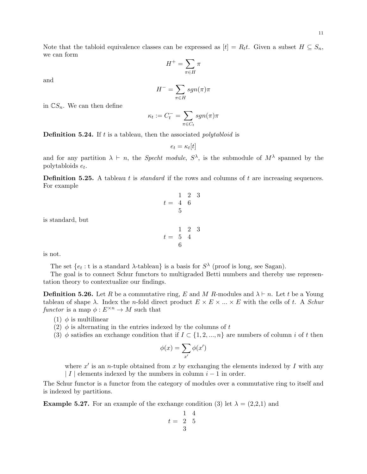Note that the tabloid equivalence classes can be expressed as  $[t] = R_t t$ . Given a subset  $H \subseteq S_n$ , we can form

$$
H^+=\sum_{\pi\in H}\pi
$$

and

$$
H^- = \sum_{\pi \in H} sgn(\pi)\pi
$$

in  $\mathbb{C}S_n$ . We can then define

$$
\kappa_t := C_t^- = \sum_{\pi \in C_t} sgn(\pi)\pi
$$

**Definition 5.24.** If  $t$  is a tableau, then the associated *polytabloid* is

$$
e_t = \kappa_t[t]
$$

and for any partition  $\lambda \vdash n$ , the *Specht module*,  $S^{\lambda}$ , is the submodule of  $M^{\lambda}$  spanned by the polytabloids  $e_t$ .

**Definition 5.25.** A tableau t is *standard* if the rows and columns of t are increasing sequences. For example

is standard, but

is not.

The set  $\{e_t : t \text{ is a standard } \lambda\text{-tableau}\}\$ is a basis for  $S^{\lambda}$  (proof is long, see Sagan).

The goal is to connect Schur functors to multigraded Betti numbers and thereby use representation theory to contextualize our findings.

**Definition 5.26.** Let R be a commutative ring, E and M R-modules and  $\lambda \vdash n$ . Let t be a Young tableau of shape  $\lambda$ . Index the n-fold direct product  $E \times E \times ... \times E$  with the cells of t. A Schur functor is a map  $\phi: E^{\times n} \to M$  such that

- (1)  $\phi$  is multilinear
- (2)  $\phi$  is alternating in the entries indexed by the columns of t
- (3)  $\phi$  satisfies an exchange condition that if  $I \subset \{1, 2, ..., n\}$  are numbers of column i of t then

$$
\phi(x) = \sum_{x'} \phi(x')
$$

where  $x'$  is an *n*-tuple obtained from x by exchanging the elements indexed by I with any | I | elements indexed by the numbers in column  $i-1$  in order.

The Schur functor is a functor from the category of modules over a commutative ring to itself and is indexed by partitions.

**Example 5.27.** For an example of the exchange condition (3) let  $\lambda = (2,2,1)$  and

$$
t = \begin{array}{ccc} & 1 & 4 \\ 2 & 5 \\ & 3 \end{array}
$$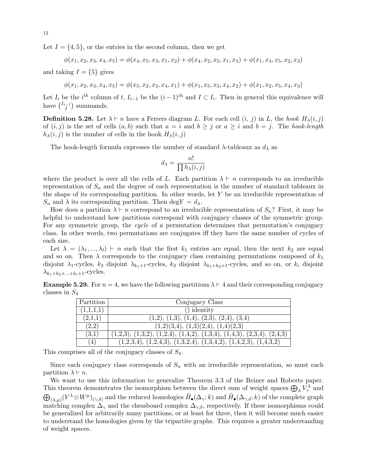Let  $I = \{4, 5\}$ , or the entries in the second column, then we get

$$
\phi(x_1, x_2, x_3, x_4, x_5) = \phi(x_4, x_5, x_3, x_1, x_2) + \phi(x_4, x_2, x_5, x_1, x_3) + \phi(x_1, x_4, x_5, x_2, x_3)
$$

and taking  $I = \{5\}$  gives

 $\phi(x_1, x_2, x_3, x_4, x_5) = \phi(x_5, x_2, x_3, x_4, x_1) + \phi(x_1, x_5, x_3, x_4, x_2) + \phi(x_1, x_2, x_5, x_4, x_3)$ 

Let  $I_i$  be the  $i^{th}$  column of t,  $I_{i-1}$  be the  $(i-1)^{th}$  and  $I \subset I_i$ . Then in general this equivalence will have  $\binom{I_{i-1}}{I}$  $\binom{-1}{I}$  summands.

**Definition 5.28.** Let  $\lambda \vdash n$  have a Ferrers diagram L. For each cell  $(i, j)$  in L, the hook  $H_{\lambda}(i, j)$ of  $(i, j)$  is the set of cells  $(a, b)$  such that  $a = i$  and  $b \geq j$  or  $a \geq i$  and  $b = j$ . The hook-length  $h_{\lambda}(i, j)$  is the number of cells in the hook  $H_{\lambda}(i, j)$ 

The hook-length formula expresses the number of standard  $\lambda$ -tableaux as  $d_{\lambda}$  as

$$
d_{\lambda} = \frac{n!}{\prod h_{\lambda}(i,j)}
$$

where the product is over all the cells of L. Each partition  $\lambda \vdash n$  corresponds to an irreducible representation of  $S_n$  and the degree of each representation is the number of standard tableaux in the shape of its corresponding partition. In other words, let  $Y$  be an irreducible representation of  $S_n$  and  $\lambda$  its corresponding partition. Then deg  $Y = d_{\lambda}$ .

How does a partition  $\lambda \vdash n$  correspond to an irreducible representation of  $S_n$ ? First, it may be helpful to understand how partitions correspond with conjugacy classes of the symmetric group. For any symmetric group, the *cycle* of a permutation determines that permutation's conjugacy class. In other words, two permutations are conjugates iff they have the same number of cycles of each size.

Let  $\lambda = (\lambda_1, ..., \lambda_l)$   $\vdash n$  such that the first  $k_1$  entries are equal, then the next  $k_2$  are equal and so on. Then  $\lambda$  corresponds to the conjugacy class containing permutations composed of  $k_1$ disjoint  $\lambda_1$ -cycles,  $k_2$  disjoint  $\lambda_{k_1+1}$ -cycles,  $k_3$  disjoint  $\lambda_{k_1+k_2+1}$ -cycles, and so on, or  $k_i$  disjoint  $\lambda_{k_1+k_2+\ldots+k_i+1}$ -cycles.

**Example 5.29.** For  $n = 4$ , we have the following partitions  $\lambda \vdash 4$  and their corresponding conjugacy classes in  $S_4$ 

| Partition | Conjugacy Class                                                          |
|-----------|--------------------------------------------------------------------------|
| (1,1,1,1) | $()$ identity                                                            |
| (2,1,1)   | $(1,2), (1,3), (1,4), (2,3), (2,4), (3,4)$                               |
| (2,2)     | (1,2)(3,4), (1,3)(2,4), (1,4)(2,3)                                       |
| (3,1)     | $(1,2,3), (1,3,2), (1,2,4), (1,4,2), (1,3,4), (1,4,3), (2,3,4), (2,4,3)$ |
| (4)       | $(1,2,3,4), (1,2,4,3), (1,3,2,4), (1,3,4,2), (1,4,2,3), (1,4,3,2)$       |

This comprises all of the conjugacy classes of  $S_4$ .

Since each conjugacy class corresponds of  $S_n$  with an irreducible representation, so must each partition  $\lambda \vdash n$ .

We want to use this information to generalize Theorem 3.3 of the Reiner and Roberts paper. This theorem demonstrates the isomorphism between the direct sum of weight spaces  $\bigoplus_{\lambda} V^{\lambda}_{\gamma}$  and  $\bigoplus_{(\lambda,\mu)} (V^{\lambda} \otimes W^{\mu})_{(\gamma,\delta)}$  and the reduced homologies  $\tilde{H}_{\bullet}(\Delta_{\gamma};k)$  and  $\tilde{H}_{\bullet}(\Delta_{\gamma,\delta};k)$  of the complete graph matching complex  $\Delta_{\gamma}$  and the chessboard complex  $\Delta_{\gamma,\delta}$ , respectively. If these isomorphisms could be generalized for arbitrarily many partitions, or at least for three, then it will become much easier to understand the homologies given by the tripartite graphs. This requires a greater understanding of weight spaces.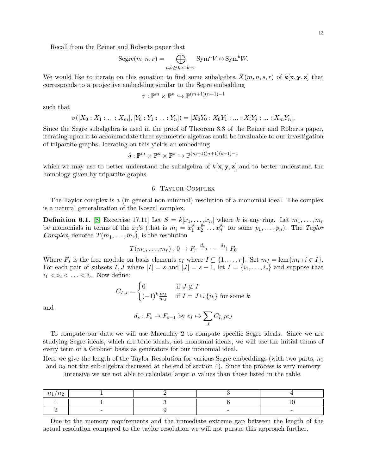Recall from the Reiner and Roberts paper that

$$
Segree(m, n, r) = \bigoplus_{a, b \ge 0, a=b+r} \text{Sym}^a V \otimes \text{Sym}^b W.
$$

We would like to iterate on this equation to find some subalgebra  $X(m, n, s, r)$  of  $k[\mathbf{x}, \mathbf{y}, \mathbf{z}]$  that corresponds to a projective embedding similar to the Segre embedding

$$
\sigma: \mathbb{P}^m \times \mathbb{P}^n \hookrightarrow \mathbb{P}^{(m+1)(n+1)-1}
$$

such that

$$
\sigma([X_0:X_1:...:X_m],[Y_0:Y_1:...:Y_n])=[X_0Y_0:X_0Y_1:...:X_iY_j:...:X_mY_n].
$$

Since the Segre subalgebra is used in the proof of Theorem 3.3 of the Reiner and Roberts paper, iterating upon it to accommodate three symmetric algebras could be invaluable to our investigation of tripartite graphs. Iterating on this yields an embedding

$$
\delta: \mathbb{P}^m \times \mathbb{P}^n \times \mathbb{P}^s \hookrightarrow \mathbb{P}^{(m+1)(n+1)(s+1)-1}
$$

which we may use to better understand the subalgebra of  $k[\mathbf{x}, \mathbf{y}, \mathbf{z}]$  and to better understand the homology given by tripartite graphs.

#### 6. Taylor Complex

The Taylor complex is a (in general non-minimal) resolution of a monomial ideal. The complex is a natural generalization of the Koszul complex.

**Definition 6.1.** [\[8,](#page-36-3) Excercise 17.11] Let  $S = k[x_1, \ldots, x_n]$  where k is any ring. Let  $m_1, \ldots, m_r$ be monomials in terms of the  $x_j$ 's (that is  $m_i = x_1^{p_1} x_2^{p_2} \dots x_n^{p_n}$  for some  $p_1, \dots, p_n$ ). The Taylor Complex, denoted  $T(m_1, \ldots, m_r)$ , is the resolution

$$
T(m_1, \ldots, m_r): 0 \to F_r \xrightarrow{d_r} \cdots \xrightarrow{d_1} F_0
$$

Where  $F_s$  is the free module on basis elements  $e_I$  where  $I \subseteq \{1, ..., r\}$ . Set  $m_I = \text{lcm}\{m_i : i \in I\}$ . For each pair of subsets I, J where  $|I| = s$  and  $|J| = s - 1$ , let  $I = \{i_1, \ldots, i_s\}$  and suppose that  $i_1 < i_2 < \ldots < i_s$ . Now define:

$$
C_{I,J} = \begin{cases} 0 & \text{if } J \not\subset I \\ (-1)^k \frac{m_I}{m_J} & \text{if } I = J \cup \{i_k\} \text{ for some } k \end{cases}
$$

and

$$
d_s: F_s \to F_{s-1}
$$
 by  $e_I \mapsto \sum_J C_{I,J}e_J$ 

To compute our data we will use Macaulay 2 to compute specific Segre ideals. Since we are studying Segre ideals, which are toric ideals, not monomial ideals, we will use the initial terms of every term of a Gröbner basis as generators for our monomial ideal.

Here we give the length of the Taylor Resolution for various Segre embeddings (with two parts,  $n_1$ ) and  $n_2$  not the sub-algebra discussed at the end of section 4). Since the process is very memory

intensive we are not able to calculate larger  $n$  values than those listed in the table.

| $\sim$<br>$\iota$ |  |  |
|-------------------|--|--|
|                   |  |  |
|                   |  |  |

Due to the memory requirements and the immediate extreme gap between the length of the actual resolution compared to the taylor resolution we will not pursue this approach further.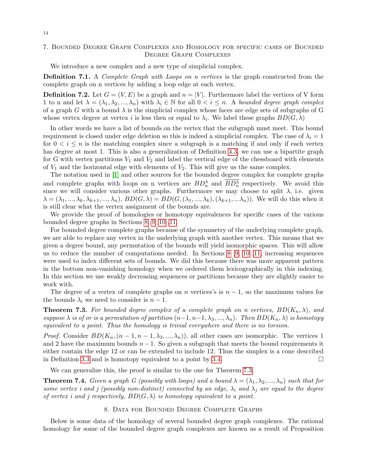## 7. Bounded Degree Graph Complexes and Homology for specific cases of Bounded Degree Graph Complexes

We introduce a new complex and a new type of simplicial complex.

**Definition 7.1.** A *Complete Graph with Loops on n vertices* is the graph constructed from the complete graph on n vertices by adding a loop edge at each vertex.

**Definition 7.2.** Let  $G = (V, E)$  be a graph and  $n = |V|$ . Furthermore label the vertices of V form 1 to n and let  $\lambda = (\lambda_1, \lambda_2, ..., \lambda_n)$  with  $\lambda_i \in \mathbb{N}$  for all  $0 < i \leq n$ . A bounded degree graph complex of a graph G with a bound  $\lambda$  is the simplicial complex whose faces are edge sets of subgraphs of G whose vertex degree at vertex i is less then or equal to  $\lambda_i$ . We label these graphs  $BD(G, \lambda)$ 

In other words we have a list of bounds on the vertex that the subgraph must meet. This bound requirement is closed under edge deletion so this is indeed a simplicial complex. The case of  $\lambda_i = 1$ for  $0 < i \leq n$  is the matching complex since a subgraph is a matching if and only if each vertex has degree at most 1. This is also a generalization of Definition [4.3,](#page-7-0) we can use a bipartite graph for G with vertex partitions  $V_1$  and  $V_2$  and label the vertical edge of the chessboard with elements of  $V_1$  and the horizontal edge with elements of  $V_2$ . This will give us the same complex.

The notation used in [\[1\]](#page-36-0) and other sources for the bounded degree complex for complete graphs and complete graphs with loops on n vertices are  $BD_n^{\lambda}$  and  $\overline{BD_n^{\lambda}}$  respectively. We avoid this since we will consider various other graphs. Furthermore we may choose to split  $\lambda$ , i.e. given  $\lambda = (\lambda_1, ..., \lambda_k, \lambda_{k+1}, ..., \lambda_n), BD(G, \lambda) = BD(G, (\lambda_1, ..., \lambda_k), (\lambda_{k+1}, ..., \lambda_n)).$  We will do this when it is still clear what the vertex assignment of the bounds are.

We provide the proof of homologies or homotopy equivalences for specific cases of the various bounded degree graphs in Sections [8](#page-13-0) [,9,](#page-15-0) [10](#page-17-0) [,11.](#page-21-0)

For bounded degree complete graphs because of the symmetry of the underlying complete graph, we are able to replace any vertex in the underlying graph with another vertex. This means that we given a degree bound, any permutation of the bounds will yield isomorphic spaces. This will allow us to reduce the number of computations needed. In Sections [8](#page-13-0) [,9,](#page-15-0) [10](#page-17-0) [,11,](#page-21-0) increasing sequences were used to index different sets of bounds. We did this because there was more apparent pattern in the bottom non-vanishing homology when we ordered them lexicographically in this indexing. In this section we use weakly decreasing sequences or partitions because they are slightly easier to work with.

The degree of a vertex of complete graphs on n vertices's is  $n-1$ , so the maximum values for the bounds  $\lambda_i$  we need to consider is  $n-1$ .

<span id="page-13-1"></span>**Theorem 7.3.** For bounded degree complex of a complete graph on n vertices,  $BD(K_n, \lambda)$ , and suppose  $\lambda$  is of or is a permutation of partition  $(n-1, n-1, \lambda_3, ..., \lambda_n)$ . Then  $BD(K_n, \lambda)$  is homotopy equivalent to a point. Thus the homology is trivial everywhere and there is no torsion.

*Proof.* Consider  $BD(K_n,(n-1,n-1,\lambda_3,...,\lambda_n))$ , all other cases are isomorphic. The vertices 1 and 2 have the maximum bounds  $n-1$ . So given a subgraph that meets the bound requirements it either contain the edge 12 or can be extended to include 12. Thus the simplex is a cone described in Definition [3.3](#page-6-0) and is homotopy equivalent to a point by [3.4.](#page-6-1)  $\Box$ 

We can generalize this, the proof is similar to the one for Theorem [7.3](#page-13-1)

**Theorem 7.4.** Given a graph G (possibly with loops) and a bound  $\lambda = (\lambda_1, \lambda_2, ..., \lambda_n)$  such that for some vertex i and j (possibly non-distinct) connected by an edge,  $\lambda_i$  and  $\lambda_j$  are equal to the degree of vertex i and j respectively,  $BD(G, \lambda)$  is homotopy equivalent to a point.

### 8. Data for Bounded Degree Complete Graphs

<span id="page-13-0"></span>Below is some data of the homology of several bounded degree graph complexes. The rational homology for some of the bounded degree graph complexes are known as a result of Proposition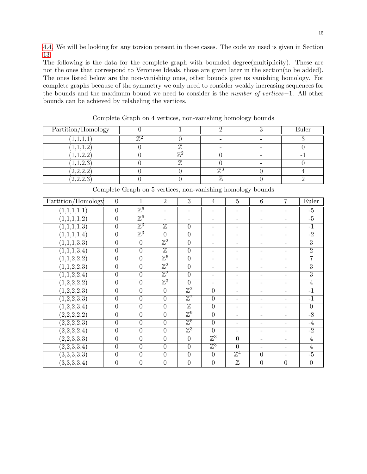[4.4.](#page-7-1) We will be looking for any torsion present in those cases. The code we used is given in Section [13.](#page-28-0)

The following is the data for the complete graph with bounded degree(multiplicity). These are not the ones that correspond to Veronese Ideals, those are given later in the section(to be added). The ones listed below are the non-vanishing ones, other bounds give us vanishing homology. For complete graphs because of the symmetry we only need to consider weakly increasing sequences for the bounds and the maximum bound we need to consider is the number of vertices−1. All other bounds can be achieved by relabeling the vertices.

| Partition/Homology |    |                 | Euler |
|--------------------|----|-----------------|-------|
| (1,1,1,1)          |    |                 |       |
| (1,1,1,2)          |    |                 |       |
| 1,1,2,2            | ‴. |                 |       |
| 1,1,2,3            | ,, |                 |       |
| (2,2,2,2)          |    |                 |       |
| (2,2,2,3)          |    | $\overline{77}$ |       |

Complete Graph on 4 vertices, non-vanishing homology bounds

| Partition/Homology       | $\overline{0}$   | $\mathbf 1$      | $\overline{2}$           | 3                         | $\overline{4}$           | $\overline{5}$           | $\overline{6}$    | 7                        | Euler          |
|--------------------------|------------------|------------------|--------------------------|---------------------------|--------------------------|--------------------------|-------------------|--------------------------|----------------|
| $\overline{(1,1,1,1,1)}$ | $\overline{0}$   | $\mathbb{Z}^6$   | $\overline{\phantom{a}}$ | $\overline{\phantom{a}}$  | $\overline{\phantom{a}}$ | $\overline{\phantom{a}}$ | $\qquad \qquad -$ | $\overline{\phantom{a}}$ | $-\frac{5}{5}$ |
| $\overline{(1,1,1,1,2)}$ | $\overline{0}$   | $\mathbb{Z}^6$   | $\overline{\phantom{a}}$ |                           | $\qquad \qquad -$        |                          | -                 |                          | $-\frac{5}{5}$ |
| $\overline{(1,1,1,1,3)}$ | $\overline{0}$   | $\mathbb{Z}^3$   | $\overline{\mathbb{Z}}$  | $\theta$                  | $\overline{\phantom{0}}$ |                          | -                 |                          | $-1$           |
| $\overline{(1,1,1,1,4)}$ | $\overline{0}$   | $\mathbb{Z}^3$   | $\overline{0}$           | $\theta$                  | $\overline{\phantom{0}}$ | $\overline{\phantom{0}}$ | -                 |                          | $-2$           |
| $\overline{(1,1,1,3,3)}$ | $\overline{0}$   | $\overline{0}$   | $\mathbb{Z}^2$           | $\overline{0}$            | $\qquad \qquad -$        | $\overline{\phantom{a}}$ | -                 | $\overline{\phantom{a}}$ | $\overline{3}$ |
| $\overline{(1,1,1,3,4)}$ | $\overline{0}$   | $\boldsymbol{0}$ | $\overline{\mathbb{Z}}$  | $\overline{0}$            | $\overline{\phantom{0}}$ | $\overline{\phantom{0}}$ | -                 | $\qquad \qquad -$        | $\overline{2}$ |
| $\overline{(1,1,2,2,2)}$ | $\overline{0}$   | $\overline{0}$   | $\mathbb{Z}^6$           | $\overline{0}$            | $\overline{\phantom{0}}$ |                          |                   |                          | $\overline{7}$ |
| $\overline{(1,1,2,2,3)}$ | $\overline{0}$   | $\overline{0}$   | $\mathbb{Z}^2$           | $\theta$                  | $\overline{\phantom{0}}$ | $\overline{\phantom{a}}$ | -                 | $\overline{\phantom{0}}$ | $\overline{3}$ |
| (1,1,2,2,4)              | $\overline{0}$   | $\overline{0}$   | $\mathbb{Z}^2$           | $\overline{0}$            | $\qquad \qquad -$        | $\overline{\phantom{a}}$ | -                 | $\overline{\phantom{a}}$ | $\overline{3}$ |
| (1,2,2,2,2)              | $\overline{0}$   | $\overline{0}$   | $\mathbb{Z}^3$           | $\overline{0}$            | $\overline{\phantom{0}}$ | $\overline{\phantom{a}}$ | $\qquad \qquad -$ |                          | $\overline{4}$ |
| (1,2,2,2,3)              | $\overline{0}$   | $\overline{0}$   | $\boldsymbol{0}$         | $\overline{\mathbb{Z}^2}$ | $\overline{0}$           |                          |                   |                          | $-1$           |
| $\overline{(1,2,2,3,3)}$ | $\overline{0}$   | $\boldsymbol{0}$ | $\overline{0}$           | $\overline{\mathbb{Z}^2}$ | $\overline{0}$           | $\overline{\phantom{a}}$ |                   |                          | $-1$           |
| $\overline{(1,2,2,3,4)}$ | $\overline{0}$   | $\overline{0}$   | $\overline{0}$           | $\overline{\mathbb{Z}}$   | $\overline{0}$           | $\overline{\phantom{a}}$ | -                 | $\overline{\phantom{0}}$ | $\overline{0}$ |
| (2,2,2,2,2)              | $\boldsymbol{0}$ | $\overline{0}$   | $\boldsymbol{0}$         | $\mathbb{Z}^9$            | $\overline{0}$           | $\overline{\phantom{a}}$ | -                 |                          | $-8$           |
| (2,2,2,2,3)              | $\overline{0}$   | $\overline{0}$   | $\boldsymbol{0}$         | $\mathbb{Z}^5$            | $\overline{0}$           |                          |                   |                          | $-4$           |
| $\overline{(2,2,2,2,4)}$ | $\overline{0}$   | $\overline{0}$   | $\overline{0}$           | $\mathbb{Z}^3$            | $\overline{0}$           | $\overline{\phantom{a}}$ |                   |                          | $-2$           |
| (2,2,3,3,3)              | $\overline{0}$   | $\overline{0}$   | $\boldsymbol{0}$         | $\overline{0}$            | $\mathbb{Z}^3$           | $\overline{0}$           | -                 | ۰                        | $\overline{4}$ |
| $\overline{(2,2,3,3,4)}$ | $\overline{0}$   | $\boldsymbol{0}$ | $\boldsymbol{0}$         | $\overline{0}$            | $\mathbb{Z}^3$           | $\overline{0}$           | -                 | ۰                        | $\overline{4}$ |
| $\overline{(3,3,3,3,3)}$ | $\overline{0}$   | $\overline{0}$   | $\overline{0}$           | $\overline{0}$            | $\overline{0}$           | $\mathbb{Z}^4$           | $\boldsymbol{0}$  | ۰                        | $-\frac{5}{5}$ |
| (3,3,3,3,4)              | $\overline{0}$   | $\overline{0}$   | $\overline{0}$           | $\overline{0}$            | $\overline{0}$           | $\overline{\mathbb{Z}}$  | $\overline{0}$    | $\theta$                 | $\overline{0}$ |

Complete Graph on 5 vertices, non-vanishing homology bounds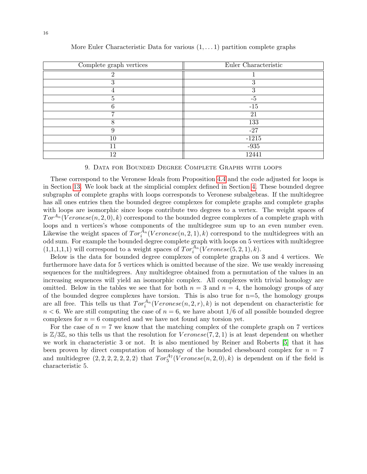| Complete graph vertices | Euler Characteristic |
|-------------------------|----------------------|
| ച                       |                      |
| ച<br>$\cdot$            | 3                    |
|                         | 3                    |
|                         | $-5$                 |
|                         | $-15$                |
|                         | 21                   |
| 8                       | 133                  |
| 9                       | $-27$                |
| 10                      | $-1215$              |
| 11                      | $-935$               |
| 12                      | 12441                |

More Euler Characteristic Data for various  $(1, \ldots 1)$  partition complete graphs

#### 9. Data for Bounded Degree Complete Graphs with loops

<span id="page-15-0"></span>These correspond to the Veronese Ideals from Proposition [4.4](#page-7-1) and the code adjusted for loops is in Section [13.](#page-28-0) We look back at the simplicial complex defined in Section [4.](#page-6-2) These bounded degree subgraphs of complete graphs with loops corresponds to Veronese subalgebras. If the multidegree has all ones entries then the bounded degree complexes for complete graphs and complete graphs with loops are isomorphic since loops contribute two degrees to a vertex. The weight spaces of  $Tor^{A_n}(Veronese(n, 2, 0), k)$  correspond to the bounded degree complexes of a complete graph with loops and n vertices's whose components of the multidegree sum up to an even number even. Likewise the weight spaces of  $Tor_i^{A_n}(Veronese(n, 2, 1), k)$  correspond to the multidegrees with an odd sum. For example the bounded degree complete graph with loops on 5 vertices with multidegree  $(1,1,1,1,1)$  will correspond to a weight spaces of  $Tor_i^{A_n}(Veronese(5,2,1),k)$ .

Below is the data for bounded degree complexes of complete graphs on 3 and 4 vertices. We furthermore have data for 5 vertices which is omitted because of the size. We use weakly increasing sequences for the multidegrees. Any multidegree obtained from a permutation of the values in an increasing sequences will yield an isomorphic complex. All complexes with trivial homology are omitted. Below in the tables we see that for both  $n = 3$  and  $n = 4$ , the homology groups of any of the bounded degree complexes have torsion. This is also true for  $n=5$ , the homology groups are all free. This tells us that  $Tor_i^{A_n}(Veronese(n, 2, r), k)$  is not dependent on characteristic for  $n < 6$ . We are still computing the case of  $n = 6$ , we have about  $1/6$  of all possible bounded degree complexes for  $n = 6$  computed and we have not found any torsion yet.

For the case of  $n = 7$  we know that the matching complex of the complete graph on 7 vertices is  $\mathbb{Z}/3\mathbb{Z}$ , so this tells us that the resolution for  $V$  eronese(7, 2, 1) is at least dependent on whether we work in characteristic 3 or not. It is also mentioned by Reiner and Roberts [\[5\]](#page-36-4) that it has been proven by direct computation of homology of the bounded chessboard complex for  $n = 7$ and multidegree  $(2, 2, 2, 2, 2, 2, 2)$  that  $Tor_5^{A_7}(Veronese(n, 2, 0), k)$  is dependent on if the field is characteristic 5.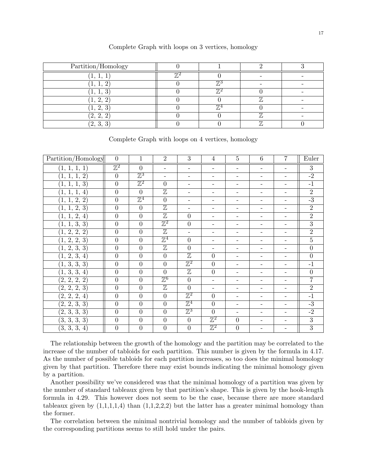| Partition/Homology |                 |    |  |
|--------------------|-----------------|----|--|
| л,                 |                 |    |  |
| л.                 |                 |    |  |
| <b>L</b>           | $\overline{r}$  |    |  |
| ച                  |                 |    |  |
| 2, 3               | $\overline{77}$ |    |  |
| (2, 2,             |                 |    |  |
| (2, 3, 3)          |                 | 77 |  |

Complete Graph with loops on 3 vertices, homology

| Partition/Homology           | $\overline{0}$            | 1                | $\overline{2}$           | 3                        | 4                        | $\overline{5}$           | 6                        | 7                        | Euler          |
|------------------------------|---------------------------|------------------|--------------------------|--------------------------|--------------------------|--------------------------|--------------------------|--------------------------|----------------|
| (1, 1, 1, 1)                 | $\overline{\mathbb{Z}^2}$ | $\overline{0}$   | $\overline{\phantom{a}}$ | $\overline{\phantom{0}}$ | $\overline{\phantom{0}}$ | $\overline{\phantom{a}}$ | $\overline{\phantom{a}}$ | $\overline{\phantom{a}}$ | $\overline{3}$ |
| (1, 1, 1, 2)                 | $\overline{0}$            | $\mathbb{Z}^3$   | $\overline{\phantom{a}}$ | $\overline{\phantom{0}}$ | $\overline{\phantom{a}}$ | -                        | $\overline{\phantom{a}}$ | $\overline{\phantom{a}}$ | $-2$           |
| (1, 1, 1, 3)                 | $\overline{0}$            | $\mathbb{Z}^2$   | $\overline{0}$           | $\overline{\phantom{0}}$ | $\overline{\phantom{a}}$ | -                        | $\overline{\phantom{a}}$ | $\overline{\phantom{a}}$ | $-1$           |
| (1, 1, 1, 4)                 | $\boldsymbol{0}$          | $\boldsymbol{0}$ | $\mathbb Z$              | $\overline{\phantom{0}}$ | $\overline{\phantom{a}}$ | -                        | $\qquad \qquad -$        | $\overline{\phantom{a}}$ | $\overline{2}$ |
| (1, 1, 2, 2)                 | $\overline{0}$            | $\mathbb{Z}^4$   | $\overline{0}$           | -                        | $\overline{\phantom{a}}$ | -                        | -                        | $\overline{\phantom{a}}$ | $-3$           |
| (1, 1, 2, 3)                 | $\overline{0}$            | $\boldsymbol{0}$ | $\overline{\mathbb{Z}}$  | $\overline{\phantom{a}}$ | $-$                      | $\overline{\phantom{a}}$ | $\overline{\phantom{a}}$ | $\overline{\phantom{a}}$ | $\overline{2}$ |
| (1, 1, 2, 4)                 | $\overline{0}$            | $\boldsymbol{0}$ | $\overline{\mathbb{Z}}$  | $\theta$                 | $\overline{\phantom{a}}$ | -                        | $\overline{\phantom{a}}$ | $\overline{\phantom{a}}$ | $\overline{2}$ |
| (1, 1, 3, 3)                 | $\overline{0}$            | $\overline{0}$   | $\mathbb{Z}^2$           | $\overline{0}$           | $\overline{\phantom{0}}$ | Ξ.                       | $\overline{\phantom{0}}$ | $\overline{\phantom{a}}$ | $\overline{3}$ |
| (1, 2, 2, 2)                 | $\overline{0}$            | $\overline{0}$   | $\overline{\mathbb{Z}}$  | $\equiv$                 | $\overline{\phantom{a}}$ | $\overline{\phantom{a}}$ | -                        | $\overline{\phantom{a}}$ | $\overline{2}$ |
| $(\overline{1,2,2,3})$       | $\overline{0}$            | $\overline{0}$   | $\mathbb{Z}^4$           | $\overline{0}$           | $-$                      | -                        | -                        | $\overline{\phantom{a}}$ | $\overline{5}$ |
| (1, 2, 3, 3)                 | $\overline{0}$            | $\overline{0}$   | $\overline{\mathbb{Z}}$  | $\overline{0}$           | $\overline{\phantom{a}}$ | -                        | -                        | $\overline{\phantom{a}}$ | $\overline{0}$ |
| $(\overline{1,2,3,4})$       | $\overline{0}$            | $\boldsymbol{0}$ | $\boldsymbol{0}$         | $\mathbb Z$              | $\theta$                 | $\overline{\phantom{0}}$ | $\qquad \qquad -$        | $\overline{\phantom{a}}$ | $\overline{0}$ |
| $\overline{(1,3,3,3)}$       | $\overline{0}$            | $\overline{0}$   | $\overline{0}$           | $\mathbb{Z}^2$           | $\overline{0}$           | $\overline{\phantom{0}}$ | $\overline{\phantom{a}}$ | $\overline{\phantom{a}}$ | $-1$           |
| (1, 3, 3, 4)                 | $\boldsymbol{0}$          | $\boldsymbol{0}$ | $\boldsymbol{0}$         | $\overline{\mathbb{Z}}$  | $\overline{0}$           | $\overline{\phantom{a}}$ | $\overline{\phantom{a}}$ | $\overline{\phantom{a}}$ | $\overline{0}$ |
| $(2,\,2,\,\overline{2,\,2)}$ | $\overline{0}$            | $\overline{0}$   | $\mathbb{Z}^6$           | $\overline{0}$           | $\overline{\phantom{0}}$ | $\overline{\phantom{0}}$ | $\overline{\phantom{a}}$ | $\overline{\phantom{a}}$ | $\overline{7}$ |
| $(\overline{2,2,2,3})$       | $\overline{0}$            | $\overline{0}$   | $\overline{\mathbb{Z}}$  | $\overline{0}$           | $\overline{\phantom{0}}$ | -                        | $\overline{\phantom{a}}$ | $\overline{\phantom{a}}$ | $\overline{2}$ |
| $(2,\,2,\,\overline{2,\,4)}$ | $\overline{0}$            | $\boldsymbol{0}$ | $\overline{0}$           | $\mathbb{Z}^2$           | $\overline{0}$           | $\overline{\phantom{0}}$ | $\overline{\phantom{a}}$ | $\overline{\phantom{a}}$ | $-1$           |
| $(2,\overline{2,\,3,\,3)}$   | $\overline{0}$            | $\boldsymbol{0}$ | $\boldsymbol{0}$         | $\mathbb{Z}^4$           | $\overline{0}$           | -                        | -                        |                          | $-3$           |
| $\overline{(2,\,3,\,3,\,3)}$ | $\overline{0}$            | $\overline{0}$   | $\overline{0}$           | $\mathbb{Z}^3$           | $\overline{0}$           | $\overline{\phantom{0}}$ | $\overline{\phantom{a}}$ | $\overline{\phantom{a}}$ | $-2$           |
| $(\overline{3,3,3,3})$       | $\boldsymbol{0}$          | $\boldsymbol{0}$ | $\boldsymbol{0}$         | $\boldsymbol{0}$         | $\mathbb{Z}^2$           | $\boldsymbol{0}$         | $\overline{\phantom{a}}$ | $\overline{\phantom{a}}$ | $\overline{3}$ |
| (3, 3, 3, 4)                 | $\boldsymbol{0}$          | $\overline{0}$   | $\overline{0}$           | $\overline{0}$           | $\mathbb{Z}^2$           | $\overline{0}$           |                          |                          | $\overline{3}$ |

Complete Graph with loops on 4 vertices, homology

The relationship between the growth of the homology and the partition may be correlated to the increase of the number of tabloids for each partition. This number is given by the formula in 4.17. As the number of possible tabloids for each partition increases, so too does the minimal homology given by that partition. Therefore there may exist bounds indicating the minimal homology given by a partition.

Another possibility we've considered was that the minimal homology of a partition was given by the number of standard tableaux given by that partition's shape. This is given by the hook-length formula in 4.29. This however does not seem to be the case, because there are more standard tableaux given by  $(1,1,1,1,4)$  than  $(1,1,2,2,2)$  but the latter has a greater minimal homology than the former.

The correlation between the minimal nontrivial homology and the number of tabloids given by the corresponding partitions seems to still hold under the pairs.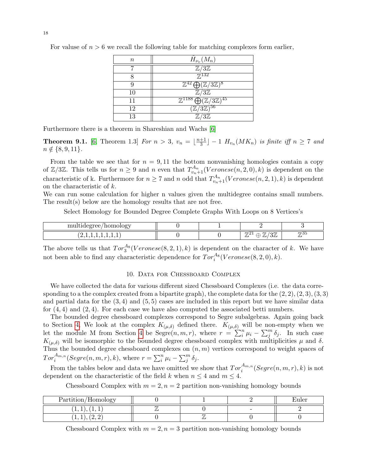| $\, n$ | $H_{\nu_v}(M_n)$                                                       |
|--------|------------------------------------------------------------------------|
|        | $\mathbb{Z}/3\mathbb{Z}$                                               |
|        | $\overline{\mathbb{Z}}^{132}$                                          |
|        | $\mathbb{Z}^{42} \bigoplus (\mathbb{Z}/3\mathbb{Z})^8$                 |
| 10     | $\mathbb{Z}/3\mathbb{Z}$                                               |
| 11     | $\overline{\mathbb{Z}^{1188} \bigoplus (\mathbb{Z}/3\mathbb{Z})^{45}}$ |
| 12     | $(\mathbb{Z}/3\mathbb{Z})^{56}$                                        |
| 13     | $\mathbb{Z}/3\mathbb{Z}$                                               |

For valuse of  $n > 6$  we recall the following table for matching complexes form earlier,

Furthermore there is a theorem in Shareshian and Wachs [\[6\]](#page-36-2)

**Theorem 9.1.** [\[6,](#page-36-2) Theorem 1.3] For  $n > 3$ ,  $v_n = \lfloor \frac{n+1}{3} \rfloor$  $\frac{+1}{3}$ ] – 1  $H_{v_n}(MK_n)$  is finite iff  $n \geq 7$  and  $n \notin \{8, 9, 11\}.$ 

From the table we see that for  $n = 9,11$  the bottom nonvanishing homologies contain a copy of  $\mathbb{Z}/3\mathbb{Z}$ . This tells us for  $n \geq 9$  and n even that  $T_{v_n+1}^{A_n}(Veronese(n, 2, 0), k)$  is dependent on the characteristic of k. Furthermore for  $n \geq 7$  and n odd that  $T_{v_n+1}^{A_n}(Veronese(n, 2, 1), k)$  is dependent on the characteristic of k.

We can run some calculation for higher n values given the multidegree contains small numbers. The result(s) below are the homology results that are not free.

Select Homology for Bounded Degree Complete Graphs With Loops on 8 Vertices's

| mu<br>$\cdots$<br>omc<br>$\sim$ $\sim$ $\sim$<br>w<br>J. |  |                                                                                                                          |           |
|----------------------------------------------------------|--|--------------------------------------------------------------------------------------------------------------------------|-----------|
| .<br><b>.</b><br>-                                       |  | $\overline{77}$<br>$\mathbf{r}$<br>11.41<br>◡<br>Щ<br>$\overline{\phantom{a}}$<br>◡<br>and the state of the state of the | 773ত<br>" |

The above tells us that  $Tor_3^{A_8}(V$  *eronese*(8, 2, 1), k) is dependent on the character of k. We have not been able to find any characteristic dependence for  $Tor_i^{A_8}(Veronese(8, 2, 0), k)$ .

## 10. Data for Chessboard Complex

<span id="page-17-0"></span>We have collected the data for various different sized Chessboard Complexes (i.e. the data corresponding to a the complex created from a bipartite graph), the complete data for the  $(2, 2), (2, 3), (3, 3)$ and partial data for the  $(3, 4)$  and  $(5, 5)$  cases are included in this report but we have similar data for  $(4, 4)$  and  $(2, 4)$ . For each case we have also computed the associated betti numbers.

The bounded degree chessboard complexes correspond to Segre subalgebras. Again going back to Section [4,](#page-6-2) We look at the complex  $K_{(\mu,\delta)}$  defined there.  $K_{(\mu,\delta)}$  will be non-empty when we let the module M from Section [4](#page-6-2) be  $Segre(n, m, r)$ , where  $r = \sum_{i=1}^{n} \mu_i - \sum_{j=1}^{m} \delta_j$ . In such case  $K_{(\mu,\delta)}$  will be isomorphic to the bounded degree chessboard complex with multiplicities  $\mu$  and  $\delta$ . Thus the bounded degree chessboard complexes on  $(n, m)$  vertices correspond to weight spaces of  $Tor_i^{A_{m,n}}(Segre(n,m,r),k)$ , where  $r = \sum_i^n \mu_i - \sum_j^m \delta_j$ .

From the tables below and data we have omitted we show that  $Tor_i^{A_{m,n}}(Segre(n,m,r),k)$  is not dependent on the characteristic of the field k when  $n \leq 4$  and  $m \leq 4$ .

Chessboard Complex with  $m = 2$ ,  $n = 2$  partition non-vanishing homology bounds

| Partition/Homology                           |  |                          | 11 le1 |
|----------------------------------------------|--|--------------------------|--------|
| <b>LA</b><br>.<br><b>.</b><br>$\bullet$<br>- |  | $\overline{\phantom{a}}$ |        |
| .<br><u>.</u><br>∼<br><b>.</b><br>$\bullet$  |  |                          |        |

Chessboard Complex with  $m = 2$ ,  $n = 3$  partition non-vanishing homology bounds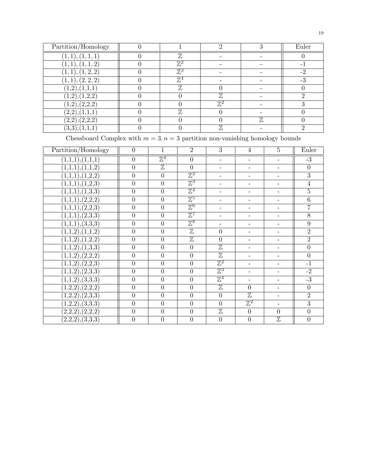| Partition/Homology                     |                |                          |     | Euler |
|----------------------------------------|----------------|--------------------------|-----|-------|
| $(1,\overline{1}), (1,\overline{1,1})$ | $\mathbb Z$    |                          |     |       |
| (1,1), (1,1,2)                         | $\mathbb{Z}^2$ |                          |     |       |
| (1,1), (1,2,2)                         | $\mathbb{Z}^3$ |                          |     |       |
| (1,1), (2,2,2)                         | $\mathbb{Z}^4$ |                          |     |       |
|                                        | $\mathbb Z$    |                          |     |       |
| (1,2),(1,2,2)                          |                | $\mathbb Z$              |     |       |
| (1,2),(2,2,2)                          |                | 77'2                     |     |       |
| (2,2),(1,1,1)                          | $\mathbb Z$    |                          |     |       |
| (2,2),(2,2,2)                          |                |                          | 77, |       |
| (3,3),(1,1,1)                          |                | $\overline{\mathcal{H}}$ |     |       |

Chessboard Complex with  $m = 3, n = 3$  partition non-vanishing homology bounds

| Partition/Homology           | $\boldsymbol{0}$ | 1                       | $\overline{2}$            | 3                        | $\overline{4}$            | $\overline{5}$           | Euler            |
|------------------------------|------------------|-------------------------|---------------------------|--------------------------|---------------------------|--------------------------|------------------|
| (1,1,1),(1,1,1)              | $\boldsymbol{0}$ | $\mathbb{Z}^4$          | $\boldsymbol{0}$          | $\overline{\phantom{0}}$ | $\overline{\phantom{0}}$  | $\qquad \qquad -$        | $-3$             |
| (1,1,1),(1,1,2)              | $\overline{0}$   | $\overline{\mathbb{Z}}$ | $\overline{0}$            | $\overline{a}$           | -                         | ÷.                       | $\boldsymbol{0}$ |
| (1,1,1),(1,2,2)              | $\overline{0}$   | $\overline{0}$          | $\mathbb{Z}^2$            | Ξ.                       | $\overline{\phantom{0}}$  | $\overline{\phantom{0}}$ | $\overline{3}$   |
| (1,1,1),(1,2,3)              | $\overline{0}$   | $\overline{0}$          | $\overline{\mathbb{Z}^3}$ | $\overline{\phantom{a}}$ | $\overline{\phantom{a}}$  | $\overline{\phantom{a}}$ | $\overline{4}$   |
| (1,1,1),(1,3,3)              | $\overline{0}$   | $\overline{0}$          | $\mathbb{Z}^4$            | $\overline{a}$           | $\overline{a}$            | $\overline{\phantom{0}}$ | $\overline{5}$   |
| $\overline{(1,1,1),(2,2,2)}$ | $\overline{0}$   | $\overline{0}$          | $\mathbb{Z}^5$            | Ξ.                       |                           |                          | $\overline{6}$   |
| $\overline{(1,1,1),(2,2,3)}$ | $\overline{0}$   | $\overline{0}$          | $\mathbb{Z}^6$            | $\overline{\phantom{a}}$ | $\overline{\phantom{a}}$  | $\overline{\phantom{a}}$ | $\overline{7}$   |
| $\overline{(1,1,1),(2,3,3)}$ | $\overline{0}$   | $\overline{0}$          | $\mathbb{Z}^7$            | $\overline{\phantom{0}}$ | $\qquad \qquad -$         | $\overline{\phantom{0}}$ | $\overline{8}$   |
| $\overline{(1,1,1),(3,3,3)}$ | $\overline{0}$   | $\overline{0}$          | $\mathbb{Z}^8$            | $\overline{\phantom{0}}$ | $\overline{\phantom{0}}$  |                          | $\overline{9}$   |
| $(1,\overline{1,2),(1,1,2)}$ | $\overline{0}$   | $\boldsymbol{0}$        | $\mathbb Z$               | $\overline{0}$           | $\overline{\phantom{a}}$  | $\overline{\phantom{0}}$ | $\overline{2}$   |
| $\overline{(1,1,2),(1,2,2)}$ | $\overline{0}$   | $\boldsymbol{0}$        | $\overline{\mathbb{Z}}$   | $\overline{0}$           | $\qquad \qquad -$         | $\qquad \qquad -$        | $\overline{2}$   |
| (1,1,2),(1,3,3)              | $\overline{0}$   | $\boldsymbol{0}$        | $\boldsymbol{0}$          | $\overline{\mathbb{Z}}$  | $\overline{\phantom{0}}$  | -                        | $\overline{0}$   |
| $\overline{(1,1,2),(2,2,2)}$ | $\overline{0}$   | $\boldsymbol{0}$        | $\boldsymbol{0}$          | $\overline{\mathbb{Z}}$  | $\overline{\phantom{a}}$  | $\overline{\phantom{a}}$ | $\overline{0}$   |
| (1,1,2),(2,2,3)              | $\overline{0}$   | $\overline{0}$          | $\overline{0}$            | $\mathbb{Z}^2$           | $\overline{\phantom{a}}$  | $\overline{\phantom{a}}$ | $-1$             |
| (1,1,2),(2,3,3)              | $\overline{0}$   | $\overline{0}$          | $\overline{0}$            | $\mathbb{Z}^3$           | $\overline{\phantom{0}}$  | -                        | $-2$             |
| $\overline{(1,1,2),(3,3,3)}$ | $\overline{0}$   | $\boldsymbol{0}$        | $\boldsymbol{0}$          | $\mathbb{Z}^4$           | $\overline{\phantom{0}}$  | ÷.                       | $-3$             |
| $\overline{(1,2,2),(2,2,2)}$ | $\overline{0}$   | $\overline{0}$          | $\overline{0}$            | $\overline{\mathbb{Z}}$  | $\overline{0}$            | $\overline{\phantom{a}}$ | $\overline{0}$   |
| $\overline{(1,2,2),(2,3,3)}$ | $\overline{0}$   | $\overline{0}$          | $\boldsymbol{0}$          | $\boldsymbol{0}$         | $\overline{\mathbb{Z}}$   | $\overline{\phantom{a}}$ | $\overline{2}$   |
| $\overline{(1,2,2),(3,3,3)}$ | $\overline{0}$   | $\boldsymbol{0}$        | $\boldsymbol{0}$          | $\overline{0}$           | $\overline{\mathbb{Z}^2}$ | $\equiv$                 | $\overline{3}$   |
| (2,2,2), (2,2,2)             | $\overline{0}$   | $\overline{0}$          | $\overline{0}$            | $\overline{\mathbb{Z}}$  | $\overline{0}$            | $\overline{0}$           | $\overline{0}$   |
| (2,2,2), (3,3,3)             | $\overline{0}$   | $\overline{0}$          | $\overline{0}$            | $\overline{0}$           | $\boldsymbol{0}$          | $\overline{\mathbb{Z}}$  | $\boldsymbol{0}$ |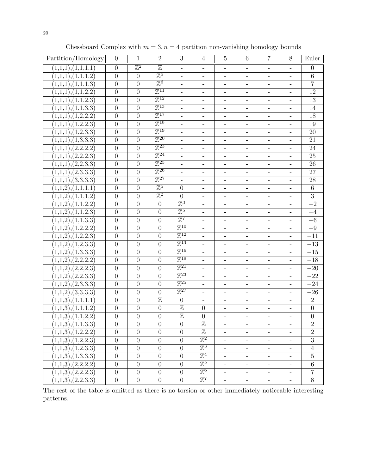| Partition/Homology                 | $\overline{0}$   | 1                | $\overline{2}$            | 3                        | $\overline{4}$           | 5                        | 6                        | 7                        | 8                        | Euler            |
|------------------------------------|------------------|------------------|---------------------------|--------------------------|--------------------------|--------------------------|--------------------------|--------------------------|--------------------------|------------------|
| (1,1,1),(1,1,1,1)                  | $\overline{0}$   | $\mathbb{Z}^2$   | $\overline{\mathbb{Z}}$   | $\overline{\phantom{a}}$ | $\overline{\phantom{a}}$ | $\qquad \qquad -$        | -                        | $\qquad \qquad -$        | $\qquad \qquad -$        | $\boldsymbol{0}$ |
| (1,1,1),(1,1,1,2)                  | $\overline{0}$   | $\overline{0}$   | $\overline{\mathbb{Z}^5}$ | $\overline{\phantom{0}}$ | $\overline{\phantom{a}}$ | $\overline{\phantom{a}}$ | $\overline{\phantom{0}}$ | $\overline{\phantom{a}}$ | $\overline{\phantom{a}}$ | $\overline{6}$   |
| (1,1,1),(1,1,1,3)                  | $\overline{0}$   | $\overline{0}$   | $\mathbb{Z}^6$            | $\frac{1}{2}$            |                          |                          |                          |                          |                          | $\overline{7}$   |
| (1,1,1),(1,1,2,2)                  | $\overline{0}$   | $\overline{0}$   | $\mathbb{Z}^{11}$         | $\overline{a}$           |                          |                          |                          | $\overline{\phantom{0}}$ |                          | $\overline{12}$  |
| (1,1,1),(1,1,2,3)                  | $\overline{0}$   | $\overline{0}$   | $\mathbb{Z}^{12}$         | $\overline{\phantom{0}}$ | $\overline{\phantom{a}}$ | $\overline{\phantom{a}}$ | $\overline{\phantom{0}}$ | $\overline{\phantom{a}}$ | $\qquad \qquad -$        | 13               |
| (1,1,1),(1,1,3,3)                  | $\overline{0}$   | $\overline{0}$   | $\mathbb{Z}^{13}$         | $\overline{\phantom{a}}$ | $\overline{\phantom{a}}$ | $\overline{\phantom{a}}$ | $\overline{\phantom{0}}$ | $\overline{\phantom{a}}$ | $\overline{\phantom{a}}$ | 14               |
| $(1,1,1),(1,\overline{2,2,2})$     | $\overline{0}$   | $\overline{0}$   | $\mathbb{Z}^{17}$         | $\equiv$                 |                          |                          |                          |                          |                          | 18               |
| (1,1,1),(1,2,2,3)                  | $\overline{0}$   | $\overline{0}$   | $\mathbb{Z}^{18}$         |                          |                          |                          |                          | $\qquad \qquad -$        |                          | 19               |
| (1,1,1),(1,2,3,3)                  | $\overline{0}$   | $\overline{0}$   | $\mathbb{Z}^{19}$         | $\qquad \qquad -$        | $\overline{\phantom{a}}$ | $\qquad \qquad -$        | $\qquad \qquad -$        | $\overline{\phantom{a}}$ | $\overline{\phantom{a}}$ | 20               |
| (1,1,1),(1,3,3,3)                  | $\overline{0}$   | $\overline{0}$   | $\mathbb{Z}^{20}$         | $\overline{\phantom{0}}$ | $\overline{\phantom{a}}$ | $\overline{\phantom{a}}$ | $\qquad \qquad -$        | $\overline{\phantom{a}}$ | $\qquad \qquad -$        | $\overline{21}$  |
| (1,1,1),(2,2,2,2)                  | $\overline{0}$   | $\theta$         | $\mathbb{Z}^{23}$         | $\equiv$                 | $\overline{\phantom{a}}$ |                          |                          | $\overline{\phantom{0}}$ | $\overline{\phantom{0}}$ | 24               |
| (1,1,1),(2,2,2,3)                  | $\overline{0}$   | $\overline{0}$   | $\mathbb{Z}^{24}$         |                          |                          |                          |                          | $\qquad \qquad -$        |                          | $\overline{25}$  |
| (1,1,1),(2,2,3,3)                  | $\overline{0}$   | $\overline{0}$   | $\mathbb{Z}^{25}$         | $\overline{a}$           |                          |                          |                          | $\overline{\phantom{0}}$ |                          | $\overline{26}$  |
| (1,1,1),(2,3,3,3)                  | $\overline{0}$   | $\overline{0}$   | $\mathbb{Z}^{26}$         | $\qquad \qquad -$        | $\overline{\phantom{a}}$ | $\overline{\phantom{0}}$ | $\overline{\phantom{0}}$ | $\qquad \qquad -$        | $\qquad \qquad -$        | $\overline{27}$  |
| (1,1,1),(3,3,3,3)                  | $\overline{0}$   | $\overline{0}$   | $\mathbb{Z}^{27}$         | $\blacksquare$           | $\overline{\phantom{a}}$ | $\overline{\phantom{a}}$ | $\qquad \qquad -$        | $\overline{\phantom{0}}$ | $\overline{\phantom{a}}$ | $\overline{28}$  |
| (1,1,2),(1,1,1,1)                  | $\overline{0}$   | $\overline{0}$   | $\mathbb{Z}^5$            | $\overline{0}$           | $\equiv$                 |                          |                          |                          |                          | $\overline{6}$   |
| (1,1,2),(1,1,1,2)                  | $\overline{0}$   | $\overline{0}$   | $\mathbb{Z}^2$            | $\overline{0}$           |                          | $\overline{\phantom{a}}$ | $\overline{\phantom{0}}$ | $\overline{\phantom{0}}$ |                          | $\overline{3}$   |
| (1,1,2),(1,1,2,2)                  | $\overline{0}$   | $\overline{0}$   | $\overline{0}$            | $\mathbb{Z}^3$           | $\overline{\phantom{a}}$ | $\overline{\phantom{0}}$ | -                        | $\overline{\phantom{0}}$ | $\overline{\phantom{0}}$ | $-2$             |
| (1,1,2),(1,1,2,3)                  | $\overline{0}$   | $\theta$         | $\overline{0}$            | $\mathbb{Z}^5$           | $\overline{\phantom{a}}$ | $\overline{\phantom{a}}$ | $\qquad \qquad -$        | -                        | $\overline{\phantom{a}}$ | $-4$             |
| (1,1,2),(1,1,3,3)                  | $\overline{0}$   | $\overline{0}$   | $\overline{0}$            | $\mathbb{Z}^7$           | $\overline{\phantom{a}}$ |                          |                          | $\overline{\phantom{0}}$ | $\equiv$                 | $-6$             |
| (1,1,2),(1,2,2,2)                  | $\overline{0}$   | $\overline{0}$   | $\overline{0}$            | $\mathbb{Z}^{10}$        |                          |                          |                          | $\qquad \qquad -$        |                          | $-9$             |
| (1,1,2),(1,2,2,3)                  | $\overline{0}$   | $\overline{0}$   | $\overline{0}$            | $\mathbb{Z}^{12}$        | $\equiv$                 | $\qquad \qquad -$        | $\overline{\phantom{0}}$ | $\qquad \qquad -$        | $\overline{\phantom{a}}$ | $-11$            |
| (1,1,2),(1,2,3,3)                  | $\overline{0}$   | $\overline{0}$   | $\overline{0}$            | $\mathbb{Z}^{14}$        | $\overline{\phantom{a}}$ | $\overline{\phantom{a}}$ | $\qquad \qquad -$        | $\overline{\phantom{a}}$ | $\overline{\phantom{a}}$ | $-13$            |
| (1,1,2),(1,3,3,3)                  | $\overline{0}$   | $\overline{0}$   | $\theta$                  | $\mathbb{Z}^{16}$        | $\equiv$                 | $\overline{\phantom{a}}$ |                          | $\overline{\phantom{0}}$ | $\overline{\phantom{0}}$ | $-15\,$          |
| (1,1,2),(2,2,2,2)                  | $\overline{0}$   | $\boldsymbol{0}$ | $\overline{0}$            | $\mathbb{Z}^{19}$        |                          |                          |                          | $\qquad \qquad -$        | $\overline{\phantom{0}}$ | $-18\,$          |
| (1,1,2),(2,2,2,3)                  | $\overline{0}$   | $\overline{0}$   | $\overline{0}$            | $\mathbb{Z}^{21}$        | $\bar{\phantom{a}}$      | $\overline{\phantom{a}}$ | $\overline{\phantom{0}}$ | $\overline{\phantom{0}}$ | $\overline{\phantom{a}}$ | $-20$            |
| (1,1,2),(2,2,3,3)                  | $\overline{0}$   | $\overline{0}$   | $\overline{0}$            | $\mathbb{Z}^{23}$        | $\blacksquare$           | $\overline{\phantom{0}}$ | $\overline{\phantom{0}}$ | $\qquad \qquad -$        | $\qquad \qquad -$        | $-22$            |
| (1,1,2),(2,3,3,3)                  | $\overline{0}$   | $\overline{0}$   | $\overline{0}$            | $\mathbb{Z}^{25}$        | $\blacksquare$           |                          | $\qquad \qquad -$        | $\overline{\phantom{0}}$ | $\overline{\phantom{a}}$ | $-24$            |
| (1,1,2),(3,3,3,3)                  | $\overline{0}$   | $\theta$         | $\overline{0}$            | $\mathbb{Z}^{27}$        | $\overline{a}$           | $\equiv$                 | $\overline{\phantom{0}}$ | $\overline{\phantom{0}}$ | $\blacksquare$           | $-26$            |
| (1,1,3), (1,1,1,1)                 | $\overline{0}$   | $\overline{0}$   | $\overline{\mathbb{Z}}$   | $\overline{0}$           |                          |                          |                          |                          |                          | $\overline{2}$   |
| (1,1,3), (1,1,1,2)                 | $\overline{0}$   | $\overline{0}$   | $\overline{0}$            | $\overline{\mathbb{Z}}$  | $\overline{0}$           |                          | $\overline{\phantom{0}}$ | $\qquad \qquad -$        |                          | $\overline{0}$   |
| $\overline{(1,1,3)}$ , $(1,1,2,2)$ | $\overline{0}$   | $\overline{0}$   | $\overline{0}$            | $\overline{\mathbb{Z}}$  | $\overline{0}$           |                          |                          |                          |                          | $\boldsymbol{0}$ |
| $\overline{(1,1,3)}$ , $(1,1,3,3)$ | $\overline{0}$   | $\overline{0}$   | $\boldsymbol{0}$          | $\boldsymbol{0}$         | $\overline{\mathbb{Z}}$  |                          | $\overline{\phantom{0}}$ | $\overline{\phantom{a}}$ | $\overline{\phantom{a}}$ | $\overline{2}$   |
| (1,1,3), (1,2,2,2)                 | $\overline{0}$   | $\overline{0}$   | $\overline{0}$            | $\overline{0}$           | $\overline{\mathbb{Z}}$  |                          |                          |                          |                          | $\overline{2}$   |
| (1,1,3), (1,2,2,3)                 | $\boldsymbol{0}$ | $\boldsymbol{0}$ | $\boldsymbol{0}$          | $\boldsymbol{0}$         | $\mathbb{Z}^2$           | $\overline{\phantom{a}}$ | $\overline{\phantom{0}}$ | $\qquad \qquad -$        | $\overline{\phantom{a}}$ | $\overline{3}$   |
| (1,1,3), (1,2,3,3)                 | $\boldsymbol{0}$ | $\boldsymbol{0}$ | $\boldsymbol{0}$          | $\boldsymbol{0}$         | $\mathbb{Z}^3$           | $\overline{\phantom{a}}$ | $\overline{\phantom{a}}$ | Ξ.                       | $\equiv$                 | $\overline{4}$   |
| (1,1,3),(1,3,3,3)                  | $\overline{0}$   | $\overline{0}$   | $\overline{0}$            | $\overline{0}$           | $\mathbb{Z}^4$           | $\overline{\phantom{a}}$ | $\overline{\phantom{0}}$ | $\overline{\phantom{a}}$ | $\overline{\phantom{a}}$ | $\overline{5}$   |
| (1,1,3), (2,2,2,2)                 | $\overline{0}$   | $\overline{0}$   | $\overline{0}$            | $\overline{0}$           | $\mathbb{Z}^5$           | $\overline{\phantom{0}}$ | $\overline{\phantom{0}}$ | $\overline{\phantom{0}}$ | $-$                      | $\overline{6}$   |
| (1,1,3), (2,2,2,3)                 | $\overline{0}$   | $\boldsymbol{0}$ | $\boldsymbol{0}$          | $\boldsymbol{0}$         | $\mathbb{Z}^6$           | $\overline{\phantom{a}}$ | $\overline{\phantom{0}}$ | $\overline{\phantom{a}}$ | $\overline{\phantom{a}}$ | $\overline{7}$   |
| (1,1,3), (2,2,3,3)                 | $\overline{0}$   | $\overline{0}$   | $\overline{0}$            | $\overline{0}$           | $\mathbb{Z}^7$           | $\overline{\phantom{a}}$ | $\overline{\phantom{a}}$ | $\blacksquare$           | $\blacksquare$           | $\overline{8}$   |

Chessboard Complex with  $m = 3, n = 4$  partition non-vanishing homology bounds

The rest of the table is omitted as there is no torsion or other immediately noticeable interesting patterns.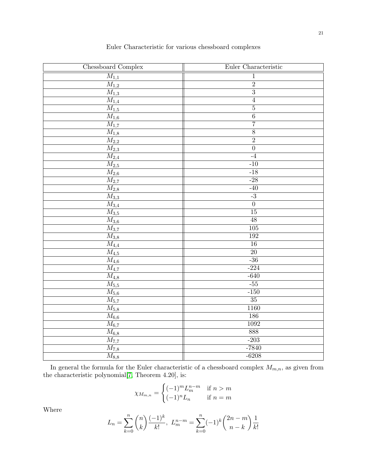| Chessboard Complex               | Euler Characteristic |
|----------------------------------|----------------------|
| $\overline{M_{1,1}}$             | $\mathbf{1}$         |
| $\overline{M_{1,2}}$             | $\overline{2}$       |
| $\overline{M_{1,3}}$             | $\overline{3}$       |
| $\overline{M_{\underline{1,4}}}$ | $\overline{4}$       |
| $\overline{M_{1,5}}$             | $\overline{5}$       |
| $\overline{M_{1,6}}$             | $\overline{6}$       |
| $\overline{M_{1,7}}$             | $\overline{7}$       |
| $\overline{M_{1,8}}$             | $\overline{8}$       |
| $\overline{M_{2,2}}$             | $\overline{2}$       |
| $\overline{M_{2,3}}$             | $\overline{0}$       |
| $\overline{M_{2,4}}$             | $-4$                 |
| $\overline{M_{2,5}}$             | $-10$                |
| $\overline{M_{2,6}}$             | $-18$                |
| $\overline{M_{2,7}}$             | $-28$                |
| $\overline{M_{2,8}}$             | $-40$                |
| $\overline{M_{3,3}}$             | $-3$                 |
| $\overline{M_{3,4}}$             | $\overline{0}$       |
| $\overline{M_{3,5}}$             | 15                   |
| $\overline{M_{3,6}}$             | $\overline{48}$      |
| $\overline{M_{3,7}}$             | 105                  |
| $\overline{M_{3,8}}$             | 192                  |
| $\overline{M_{4,4}}$             | $\overline{16}$      |
| $\overline{M}_{4,5}$             | $\overline{20}$      |
| $\overline{M_{4,6}}$             | $-36$                |
| $\overline{M_{4,7}}$             | $-224$               |
| $\overline{M_{4,8}}$             | $-640$               |
| $\overline{M_{5,5}}$             | $-55$                |
| $\overline{M_{5,6}}$             | $-150$               |
| $\overline{M_{5,7}}$             | $\overline{35}$      |
| $\overline{M_{5,8}}$             | 1160                 |
| $\overline{M_{6,6}}$             | $\overline{186}$     |
| $\overline{M_{6,7}}$             | 1092                 |
| $\overline{M_{6,8}}$             | 888                  |
| $\overline{M_{7,7}}$             | $-203$               |
| $\overline{M_{7,8}}$             | $-7840$              |
| $\overline{M}_{8,8}$             | $-6208$              |

Euler Characteristic for various chessboard complexes

In general the formula for the Euler characteristic of a chessboard complex  $M_{m,n}$ , as given from the characteristic polynomial[\[7,](#page-36-5) Theorem 4.20], is:

$$
\chi_{M_{m,n}} = \begin{cases} (-1)^m L_n^{n-m} & \text{if } n > m \\ (-1)^n L_n & \text{if } n = m \end{cases}
$$

Where

$$
L_n = \sum_{k=0}^n \binom{n}{k} \frac{(-1)^k}{k!}, \ L_m^{n-m} = \sum_{k=0}^n (-1)^k \binom{2n-m}{n-k} \frac{1}{k!}
$$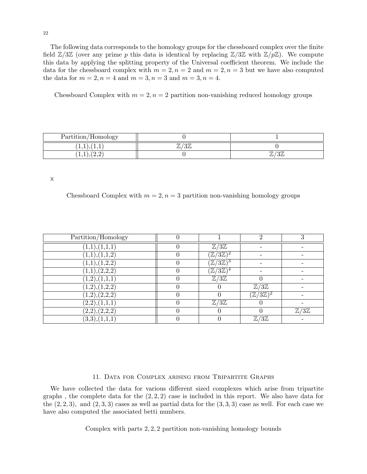The following data corresponds to the homology groups for the chessboard complex over the finite field  $\mathbb{Z}/3\mathbb{Z}$  (over any prime p this data is identical by replacing  $\mathbb{Z}/3\mathbb{Z}$  with  $\mathbb{Z}/p\mathbb{Z}$ ). We compute this data by applying the splitting property of the Universal coefficient theorem. We include the data for the chessboard complex with  $m = 2, n = 2$  and  $m = 2, n = 3$  but we have also computed the data for  $m = 2, n = 4$  and  $m = 3, n = 3$  and  $m = 3, n = 4$ .

Chessboard Complex with  $m = 2, n = 2$  partition non-vanishing reduced homology groups

| Partition/<br>/Homology         |                                                 |                          |
|---------------------------------|-------------------------------------------------|--------------------------|
| $\ldots$ + $\ldots$<br><b>.</b> | $\Omega T$<br>$\overline{77}$<br>ر ر<br>$\cdot$ |                          |
| 1, 1, 1, 2, 4                   |                                                 | U∥.<br>$^{\prime\prime}$ |

x

Chessboard Complex with  $m = 2, n = 3$  partition non-vanishing homology groups

| Partition/Homology         |   |                          | റ                          |                          |
|----------------------------|---|--------------------------|----------------------------|--------------------------|
| (1,1),(1,1,1)              |   | $\mathbb{Z}/3\mathbb{Z}$ |                            |                          |
| (1,1),(1,1,2)              |   | $\mathbb{Z}/3\mathbb{Z}$ |                            |                          |
| (1,1),(1,2,2)              |   | $\mathbb{Z}/3\mathbb{Z}$ |                            |                          |
| (1,1),(2,2,2)              |   | $\mathbb{Z}/3\mathbb{Z}$ |                            |                          |
| (1,2),(1,1,1)              | 0 | $\mathbb{Z}/3\mathbb{Z}$ | $\Omega$                   |                          |
| (1,2),(1,2,2)              |   |                          | $\mathbb{Z}/3\mathbb{Z}$   |                          |
| (1,2),(2,2,2)              |   |                          | $(\mathbb{Z}/3\mathbb{Z})$ |                          |
| $(2,2),(1,\overline{1,1})$ |   | $\mathbb{Z}/3\mathbb{Z}$ |                            |                          |
| $(2,2),(2,\overline{2,2)}$ |   |                          |                            | $\mathbb{Z}/3\mathbb{Z}$ |
| (3,3),(1,1,1)              |   |                          | $\mathbb{Z}/3\mathbb{Z}$   |                          |

#### 11. Data for Complex arising from Tripartite Graphs

<span id="page-21-0"></span>We have collected the data for various different sized complexes which arise from tripartite graphs, the complete data for the  $(2, 2, 2)$  case is included in this report. We also have data for the  $(2, 2, 3)$ , and  $(2, 3, 3)$  cases as well as partial data for the  $(3, 3, 3)$  case as well. For each case we have also computed the associated betti numbers.

Complex with parts 2, 2, 2 partition non-vanishing homology bounds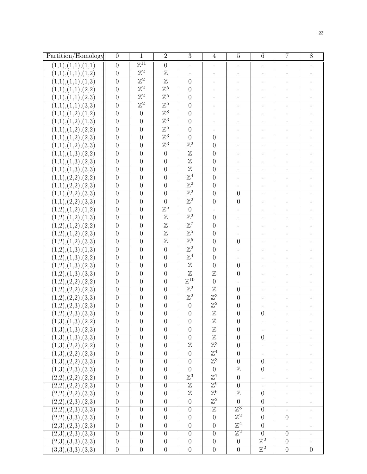| Partition/Homology                        | $\overline{0}$   | $\mathbf{1}$              | $\overline{2}$          | $\overline{3}$            | $\overline{4}$           | $\overline{5}$               | $6\phantom{.}6$          | $\overline{7}$           | 8                            |
|-------------------------------------------|------------------|---------------------------|-------------------------|---------------------------|--------------------------|------------------------------|--------------------------|--------------------------|------------------------------|
| (1,1), (1,1), (1,1)                       | $\overline{0}$   | $\mathbb{Z}^{11}$         | $\overline{0}$          | $\equiv$                  | $\equiv$                 | $\overline{\phantom{0}}$     | $\overline{\phantom{a}}$ | $\overline{\phantom{0}}$ |                              |
| (1,1),(1,1),(1,2)                         | $\overline{0}$   | $\mathbb{Z}^2$            | $\mathbb Z$             | $\blacksquare$            | $\overline{\phantom{a}}$ | $\qquad \qquad -$            | $\overline{\phantom{0}}$ | -                        | $\overline{\phantom{0}}$     |
| (1,1),(1,1),(1,3)                         | $\overline{0}$   | $\mathbb{Z}^2$            | $\overline{\mathbb{Z}}$ | $\overline{0}$            | $\overline{\phantom{a}}$ | $\qquad \qquad -$            | $\overline{\phantom{a}}$ | $\overline{\phantom{0}}$ | $\qquad \qquad -$            |
| (1,1),(1,1),(2,2)                         | $\boldsymbol{0}$ | $\mathbb{Z}^2$            | $\mathbb{Z}^5$          | $\overline{0}$            | $\overline{\phantom{a}}$ | $\qquad \qquad -$            | $\overline{\phantom{a}}$ | $\overline{\phantom{0}}$ | $\qquad \qquad -$            |
| $(1,1),(1,\overline{1}),(2,\overline{3})$ | $\overline{0}$   | $\mathbb{Z}^2$            | $\mathbb{Z}^5$          | $\overline{0}$            | $\equiv$                 | $\overline{\phantom{a}}$     | $\overline{\phantom{a}}$ | $\overline{a}$           | $\frac{1}{2}$                |
| $(1,1),(1,1),(\overline{3,3})$            | $\boldsymbol{0}$ | $\overline{\mathbb{Z}^2}$ | $\mathbb{Z}^5$          | $\overline{0}$            | $\overline{\phantom{a}}$ | $\overline{\phantom{a}}$     | $\overline{\phantom{a}}$ | $\overline{\phantom{0}}$ |                              |
| (1,1),(1,2),(1,2)                         | $\boldsymbol{0}$ | $\overline{0}$            | $\mathbb{Z}^8$          | $\overline{0}$            | $\overline{\phantom{a}}$ | $\overline{\phantom{0}}$     | $\overline{\phantom{0}}$ | $\overline{\phantom{0}}$ | $\qquad \qquad -$            |
| (1,1),(1,2),(1,3)                         | $\boldsymbol{0}$ | $\boldsymbol{0}$          | $\mathbb{Z}^3$          | $\overline{0}$            | $\overline{\phantom{a}}$ | $\overline{\phantom{a}}$     | $\overline{\phantom{a}}$ | $\overline{\phantom{a}}$ |                              |
| $(1,1),(1,2),(2,\overline{2})$            | $\boldsymbol{0}$ | $\boldsymbol{0}$          | $\mathbb{Z}^5$          | $\overline{0}$            | $\overline{\phantom{a}}$ | $\overline{\phantom{a}}$     | $\overline{\phantom{a}}$ | $\overline{\phantom{0}}$ |                              |
| (1,1),(1,2),(2,3)                         | $\boldsymbol{0}$ | $\boldsymbol{0}$          | $\mathbb{Z}^3$          | $\overline{0}$            | $\boldsymbol{0}$         | $\overline{\phantom{a}}$     | $\overline{\phantom{a}}$ | $\overline{\phantom{0}}$ |                              |
| (1,1),(1,2),(3,3)                         | $\overline{0}$   | $\overline{0}$            | $\mathbb{Z}^3$          | $\mathbb{Z}^2$            | $\overline{0}$           | $\qquad \qquad -$            | $\overline{\phantom{a}}$ | $\overline{\phantom{0}}$ | $\qquad \qquad \blacksquare$ |
| (1,1),(1,3),(2,2)                         | $\boldsymbol{0}$ | $\boldsymbol{0}$          | $\theta$                | $\overline{\mathbb{Z}}$   | $\boldsymbol{0}$         | $\frac{1}{2}$                | $\overline{\phantom{a}}$ | $\overline{\phantom{0}}$ | $\frac{1}{2}$                |
| (1,1),(1,3),(2,3)                         | $\overline{0}$   | $\boldsymbol{0}$          | $\boldsymbol{0}$        | $\overline{\mathbb{Z}}$   | $\boldsymbol{0}$         | $\overline{\phantom{0}}$     | $\overline{\phantom{a}}$ | $\overline{\phantom{0}}$ |                              |
| $(1,1),(1,\overline{3}),(3,\overline{3})$ | $\boldsymbol{0}$ | $\overline{0}$            | $\overline{0}$          | $\overline{\mathbb{Z}}$   | $\boldsymbol{0}$         | $\overline{a}$               | $\overline{\phantom{a}}$ | $\overline{a}$           | $\qquad \qquad -$            |
| (1,1),(2,2),(2,2)                         | $\boldsymbol{0}$ | $\boldsymbol{0}$          | $\overline{0}$          | $\overline{\mathbb Z^4}$  | $\boldsymbol{0}$         | $\overline{\phantom{0}}$     | $\qquad \qquad -$        | $\overline{\phantom{0}}$ | $\overline{\phantom{0}}$     |
| (1,1),(2,2),(2,3)                         | $\overline{0}$   | $\boldsymbol{0}$          | $\overline{0}$          | $\mathbb{Z}^2$            | $\boldsymbol{0}$         | $\qquad \qquad \blacksquare$ | $\overline{\phantom{0}}$ | $\overline{\phantom{0}}$ | $\qquad \qquad -$            |
| (1,1),(2,2),(3,3)                         | $\boldsymbol{0}$ | $\boldsymbol{0}$          | $\theta$                | $\mathbb{Z}^2$            | $\boldsymbol{0}$         | $\boldsymbol{0}$             | $\overline{\phantom{a}}$ | $\overline{\phantom{0}}$ | $\overline{\phantom{a}}$     |
| $(1,1),(2,\overline{2}),(3,\overline{3})$ | $\boldsymbol{0}$ | $\boldsymbol{0}$          | $\overline{0}$          | $\overline{\mathbb{Z}^2}$ | $\overline{0}$           | $\boldsymbol{0}$             | $\overline{\phantom{a}}$ | $\overline{\phantom{0}}$ | $\overline{\phantom{0}}$     |
| (1,2),(1,2),(1,2)                         | $\boldsymbol{0}$ | $\boldsymbol{0}$          | $\mathbb{Z}^5$          | $\boldsymbol{0}$          |                          | $\overline{\phantom{a}}$     | $\overline{\phantom{a}}$ | $\overline{\phantom{0}}$ |                              |
| (1,2),(1,2),(1,3)                         | $\boldsymbol{0}$ | $\boldsymbol{0}$          | $\overline{\mathbb{Z}}$ | $\mathbb{Z}^2$            | $\boldsymbol{0}$         | $\qquad \qquad -$            | $\overline{\phantom{a}}$ | $\overline{\phantom{0}}$ | $\overline{\phantom{0}}$     |
| (1,2),(1,2),(2,2)                         | $\boldsymbol{0}$ | $\boldsymbol{0}$          | $\overline{\mathbb{Z}}$ | $\mathbb{Z}^7$            | $\boldsymbol{0}$         | $\overline{\phantom{a}}$     | $\overline{\phantom{a}}$ | $\overline{\phantom{a}}$ | $\overline{\phantom{a}}$     |
| (1,2),(1,2),(2,3)                         | $\boldsymbol{0}$ | $\boldsymbol{0}$          | $\overline{\mathbb{Z}}$ | $\mathbb{Z}^5$            | $\boldsymbol{0}$         | $\overline{\phantom{a}}$     | $\overline{\phantom{a}}$ | $\overline{\phantom{0}}$ |                              |
| (1,2),(1,2),(3,3)                         | $\overline{0}$   | $\overline{0}$            | $\overline{\mathbb{Z}}$ | $\mathbb{Z}^5$            | $\overline{0}$           | $\boldsymbol{0}$             | $\overline{\phantom{a}}$ | $\overline{a}$           | $\overline{\phantom{a}}$     |
| $(1,2),(1,\overline{3}),(1,\overline{3})$ | $\boldsymbol{0}$ | $\boldsymbol{0}$          | $\boldsymbol{0}$        | $\mathbb{Z}^2$            | $\boldsymbol{0}$         | $\qquad \qquad -$            | $\overline{\phantom{a}}$ | $\overline{\phantom{0}}$ | $\overline{\phantom{0}}$     |
| (1,2),(1,3),(2,2)                         | $\overline{0}$   | $\boldsymbol{0}$          | $\boldsymbol{0}$        | $\mathbb{Z}^4$            | $\boldsymbol{0}$         | $\overline{\phantom{a}}$     | $\overline{\phantom{a}}$ | $\qquad \qquad -$        | $\qquad \qquad -$            |
| (1,2),(1,3),(2,3)                         | $\overline{0}$   | $\overline{0}$            | $\overline{0}$          | $\mathbb Z$               | $\overline{0}$           | $\boldsymbol{0}$             | $\overline{\phantom{a}}$ | $\overline{\phantom{0}}$ | $\overline{\phantom{0}}$     |
| $(1,2),(1,\overline{3}),(3,\overline{3})$ | $\boldsymbol{0}$ | $\boldsymbol{0}$          | $\overline{0}$          | $\overline{\mathbb{Z}}$   | $\overline{\mathbb{Z}}$  | $\boldsymbol{0}$             | $\qquad \qquad \Box$     | $\overline{\phantom{0}}$ | $\overline{a}$               |
| (1,2),(2,2),(2,2)                         | $\boldsymbol{0}$ | $\boldsymbol{0}$          | $\overline{0}$          | $\mathbb{Z}^{10}$         | $\boldsymbol{0}$         | $\blacksquare$               | $\overline{\phantom{0}}$ | $\overline{\phantom{0}}$ | $\overline{\phantom{0}}$     |
| (1,2),(2,2),(2,3)                         | $\boldsymbol{0}$ | $\overline{0}$            | $\overline{0}$          | $\mathbb{Z}^2$            | $\overline{\mathbb{Z}}$  | $\overline{0}$               | $\overline{\phantom{a}}$ | $\overline{\phantom{0}}$ | $\overline{\phantom{0}}$     |
| (1,2),(2,2),(3,3)                         | $\boldsymbol{0}$ | $\boldsymbol{0}$          | $\overline{0}$          | $\overline{\mathbb{Z}^2}$ | $\mathbb{Z}^3$           | $\boldsymbol{0}$             | $\overline{\phantom{a}}$ | $\overline{\phantom{0}}$ | $\overline{\phantom{a}}$     |
| (1,2),(2,3),(2,3)                         | $\boldsymbol{0}$ | $\overline{0}$            | $\boldsymbol{0}$        | $\overline{0}$            | $\mathbb{Z}^2$           | $\overline{0}$               | $\overline{\phantom{a}}$ | $\overline{\phantom{0}}$ | $\qquad \qquad -$            |
| $(1,\overline{2),(2,3),(3,3)}$            | $\boldsymbol{0}$ | $\boldsymbol{0}$          | $\boldsymbol{0}$        | $\overline{0}$            | $\overline{\mathbb{Z}}$  | $\boldsymbol{0}$             | $\boldsymbol{0}$         | $\overline{\phantom{0}}$ |                              |
| $\overline{(1,3),(1,3),(2,2)}$            | $\overline{0}$   | $\overline{0}$            | $\overline{0}$          | $\overline{0}$            | $\overline{\mathbb{Z}}$  | $\overline{0}$               | $\overline{\phantom{a}}$ | $\overline{\phantom{a}}$ | -                            |
| (1,3),(1,3),(2,3)                         | $\overline{0}$   | $\boldsymbol{0}$          | $\overline{0}$          | $\overline{0}$            | $\overline{\mathbb{Z}}$  | $\boldsymbol{0}$             | $\overline{\phantom{a}}$ | $\overline{\phantom{a}}$ | $\overline{\phantom{a}}$     |
| (1,3), (1,3), (3,3)                       | $\overline{0}$   | $\boldsymbol{0}$          | $\boldsymbol{0}$        | $\boldsymbol{0}$          | $\overline{\mathbb{Z}}$  | $\boldsymbol{0}$             | $\boldsymbol{0}$         | $\overline{\phantom{0}}$ | $\overline{\phantom{a}}$     |
| (1,3),(2,2),(2,2)                         | $\boldsymbol{0}$ | $\boldsymbol{0}$          | $\theta$                | $\overline{\mathbb{Z}}$   | $\mathbb{Z}^3$           | $\boldsymbol{0}$             | $\overline{\phantom{a}}$ | $\overline{\phantom{0}}$ |                              |
| (1,3),(2,2),(2,3)                         | $\overline{0}$   | $\overline{0}$            | $\theta$                | $\boldsymbol{0}$          | $\mathbb{Z}^4$           | $\overline{0}$               |                          | $\overline{\phantom{0}}$ | $\overline{\phantom{0}}$     |
| (1,3),(2,2),(3,3)                         | $\overline{0}$   | $\boldsymbol{0}$          | $\overline{0}$          | $\overline{0}$            | $\mathbb{Z}^3$           | $\boldsymbol{0}$             | $\overline{0}$           | $\overline{\phantom{0}}$ | $\overline{\phantom{a}}$     |
| (1,3),(2,3),(3,3)                         | $\boldsymbol{0}$ | $\boldsymbol{0}$          | $\boldsymbol{0}$        | $\overline{0}$            | $\overline{0}$           | $\mathbb Z$                  | $\overline{0}$           | $\overline{\phantom{0}}$ | $\overline{\phantom{0}}$     |
| (2,2),(2,2),(2,2)                         | $\overline{0}$   | $\overline{0}$            | $\theta$                | $\mathbb{Z}^3$            | $\mathbb{Z}^7$           | $\boldsymbol{0}$             | $\overline{\phantom{a}}$ | $\blacksquare$           | $\overline{\phantom{a}}$     |
| (2,2),(2,2),(2,3)                         | $\boldsymbol{0}$ | $\boldsymbol{0}$          | $\overline{0}$          | $\mathbb Z$               | $\mathbb{Z}^9$           | $\boldsymbol{0}$             |                          | $\overline{\phantom{0}}$ | $\overline{\phantom{0}}$     |
| (2,2),(2,2),(3,3)                         | $\boldsymbol{0}$ | $\boldsymbol{0}$          | $\overline{0}$          | $\overline{\mathbb{Z}}$   | $\mathbb{Z}^6$           | $\overline{\mathbb{Z}}$      | $\overline{0}$           | $\overline{\phantom{0}}$ | $\overline{\phantom{a}}$     |
| (2,2),(2,3),(2,3)                         | $\boldsymbol{0}$ | $\boldsymbol{0}$          | $\boldsymbol{0}$        | $\boldsymbol{0}$          | $\mathbb{Z}^2$           | $\overline{0}$               | $\overline{0}$           | $\overline{\phantom{0}}$ |                              |
| (2,2),(2,3),(3,3)                         | $\boldsymbol{0}$ | $\boldsymbol{0}$          | $\theta$                | $\overline{0}$            | $\overline{\mathbb{Z}}$  | $\mathbb{Z}^3$               | $\overline{0}$           | $\overline{\phantom{0}}$ | $\overline{\phantom{a}}$     |
| (2,2),(3,3),(3,3)                         | $\boldsymbol{0}$ | $\boldsymbol{0}$          | $\boldsymbol{0}$        | $\boldsymbol{0}$          | $\boldsymbol{0}$         | $\mathbb{Z}^2$               | $\overline{0}$           | $\overline{0}$           |                              |
| (2,3),(2,3),(2,3)                         | $\boldsymbol{0}$ | $\boldsymbol{0}$          | $\boldsymbol{0}$        | $\overline{0}$            | $\overline{0}$           | $\mathbb{Z}^4$               | $\overline{0}$           | $\overline{\phantom{a}}$ | $\overline{\phantom{0}}$     |
| (2,3),(2,3),(3,3)                         | $\overline{0}$   | $\boldsymbol{0}$          | $\overline{0}$          | $\overline{0}$            | $\boldsymbol{0}$         | $\mathbb{Z}^2$               | $\overline{0}$           | $\overline{0}$           | $\overline{\phantom{a}}$     |
| (2,3), (3,3), (3,3)                       | $\boldsymbol{0}$ | $\boldsymbol{0}$          | $\boldsymbol{0}$        | $\overline{0}$            | $\boldsymbol{0}$         | $\overline{0}$               | $\mathbb{Z}^2$           | $\overline{0}$           |                              |
| (3,3), (3,3), (3,3)                       | $\boldsymbol{0}$ | $\boldsymbol{0}$          | $\boldsymbol{0}$        | $\overline{0}$            | $\overline{0}$           | $\boldsymbol{0}$             | $\mathbb{Z}^2$           | $\overline{0}$           | $\overline{0}$               |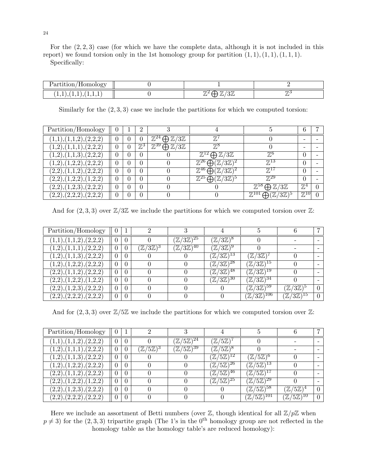For the  $(2, 2, 3)$  case (for which we have the complete data, although it is not included in this report) we found torsion only in the 1st homology group for partition  $(1, 1), (1, 1), (1, 1, 1).$ 

Specifically:

| $\sim$ $\sim$<br>$\sim$ $\sim$<br>$\cap$ n<br>$-a_{1}$ .<br>◡ |              |    |
|---------------------------------------------------------------|--------------|----|
| <b>LAL</b><br>.<br><b>.</b><br>. .<br>.                       | ഄ൰<br>╨<br>◡ | -- |

Similarly for the  $(2, 3, 3)$  case we include the partitions for which we computed torsion:

| Partition/Homology      |  | 2              |                                                         |                                                                 |                                                            |                   |  |
|-------------------------|--|----------------|---------------------------------------------------------|-----------------------------------------------------------------|------------------------------------------------------------|-------------------|--|
| (1,1), (1,1,2), (2,2,2) |  |                | $\bigoplus \mathbb{Z}/3\mathbb{Z}$<br>$\mathbb{Z}^{24}$ | $\mathbb{Z}^7$                                                  |                                                            |                   |  |
| (1,2),(1,1,1),(2,2,2)   |  | $\mathbb{Z}^3$ | $\mathbb{Z}^{39} \bigoplus \mathbb{Z}/3\mathbb{Z}$      | $\mathbb{Z}^8$                                                  |                                                            |                   |  |
| (1,2),(1,1,3),(2,2,2)   |  | 0              |                                                         | $\bigoplus \mathbb{Z}/3\mathbb{Z}$<br>$\mathbb{Z}^{12}$         | $\mathbb{Z}^6$                                             | $\theta$          |  |
| (1,2),(1,2,2),(2,2,2)   |  | $\theta$       |                                                         | $\mathbb{Z}^{26} \bigoplus \overline{(\mathbb{Z}/3\mathbb{Z})}$ | $\mathbb{Z}^{13}$                                          | $\theta$          |  |
| (2,2),(1,1,2),(2,2,2)   |  | $\theta$       |                                                         | $\bigoplus (\mathbb{Z}/3\mathbb{Z})$<br>$\mathbb{Z}^{46}$       | $\mathbb{Z}^{\Gamma}$                                      | $\Omega$          |  |
| (2,2),(1,2,2),(1,2,2)   |  | $\theta$       |                                                         | $\mathbb{Z}^{25}$<br>$\bigoplus (\mathbb{Z}/3\mathbb{Z})$       | $\mathbb{Z}^{29}$                                          | $\theta$          |  |
| (2,2),(1,2,3),(2,2,2)   |  | $\theta$       |                                                         |                                                                 | $\bigoplus \mathbb{Z}/3\mathbb{Z}$                         | $\mathbb{Z}^4$    |  |
| (2,2),(2,2,2),(2,2,2)   |  | 0              |                                                         |                                                                 | $\mathbb{Z}^{101}$<br>$\bigoplus (\mathbb{Z}/3\mathbb{Z})$ | $\mathbb{Z}^{10}$ |  |

And for  $(2,3,3)$  over  $\mathbb{Z}/3\mathbb{Z}$  we include the partitions for which we computed torsion over  $\mathbb{Z}$ :

| Partition/Homology      |          | ച                            |                                 |                                            |                                  |                            |  |
|-------------------------|----------|------------------------------|---------------------------------|--------------------------------------------|----------------------------------|----------------------------|--|
| (1,1), (1,1,2), (2,2,2) | $\Omega$ |                              | $(\mathbb{Z}/3\mathbb{Z})^{25}$ | $(\mathbb{Z}/3\mathbb{Z})^8$               |                                  |                            |  |
| (1,2),(1,1,1),(2,2,2)   | $\theta$ | $(\mathbb{Z}/3\mathbb{Z})^3$ | $(\mathbb{Z}/3\mathbb{Z})^{40}$ | $(\mathbb{Z}/3\mathbb{Z})^9$               |                                  |                            |  |
| (1,2),(1,1,3),(2,2,2)   | $\theta$ |                              |                                 | $(\mathbb{Z}/3\mathbb{Z})^{13}$            | $\mathbb{Z}/3\mathbb{Z}$         |                            |  |
| (1,2),(1,2,2),(2,2,2)   | $\Omega$ |                              |                                 | $(\mathbb{Z}/3\overline{\mathbb{Z}})^{28}$ | $(\mathbb{Z}/3\mathbb{Z})$       |                            |  |
| (2,2),(1,1,2),(2,2,2)   | $\Omega$ |                              |                                 | $(\mathbb{Z}/3\overline{\mathbb{Z}})^{48}$ | $(\mathbb{Z}/3\mathbb{Z})^{19}$  |                            |  |
| (2,2),(1,2,2),(1,2,2)   | $\theta$ |                              |                                 | $(\mathbb{Z}/3\overline{\mathbb{Z}})^{30}$ | $(\mathbb{Z}/3\mathbb{Z})^{34}$  |                            |  |
| (2,2),(1,2,3),(2,2,2)   | $\theta$ |                              |                                 |                                            | $(\mathbb{Z}/3\mathbb{Z})^{59}$  | $\mathbb{Z}/3\mathbb{Z}$ , |  |
| (2,2),(2,2,2),(2,2,2)   | $\Omega$ |                              |                                 |                                            | $(\mathbb{Z}/3\mathbb{Z})^{106}$ | $(\mathbb{Z}/3\mathbb{Z})$ |  |

And for  $(2,3,3)$  over  $\mathbb{Z}/5\mathbb{Z}$  we include the partitions for which we computed torsion over  $\mathbb{Z}$ :

| Partition/Homology                     | 1              | റ                            | ച                                       |                                            |                                            |                                                      |          |
|----------------------------------------|----------------|------------------------------|-----------------------------------------|--------------------------------------------|--------------------------------------------|------------------------------------------------------|----------|
| (1,1),(1,1,2),(2,2,2)                  | $\overline{0}$ |                              | $(\mathbb{Z}/5\mathbb{Z})^{24}$         | $(\mathbb{Z}/5\mathbb{Z})$                 |                                            |                                                      |          |
| (1,2),(1,1,1),(2,2,2)                  |                | $(\mathbb{Z}/5\mathbb{Z})^3$ | $\sqrt[6]{\mathbb{Z}/5\mathbb{Z}}^{39}$ | $(\mathbb{Z}/5\mathbb{Z})^8$               |                                            |                                                      |          |
| (1,2),(1,1,3),(2,2,2)                  | $\theta$       |                              |                                         | $(\mathbb{Z}/5\mathbb{Z})^{12}$            | $(\mathbb{Z}/5\mathbb{Z})$                 |                                                      |          |
| $\overline{(1,2),(1,2,2)}$ , $(2,2,2)$ | $\Omega$       |                              |                                         | $(\mathbb{Z}/5\mathbb{Z})^{26}$            | $(\mathbb{Z}/5\overline{\mathbb{Z}})^{13}$ |                                                      |          |
| (2,2),(1,1,2),(2,2,2)                  | $\Omega$       |                              |                                         | $(\mathbb{Z}/5\mathbb{Z})^{46}$            | $(\mathbb{Z}/5\mathbb{Z})^{17}$            |                                                      |          |
| (2,2),(1,2,2),(1,2,2)                  | $\Omega$       |                              |                                         | $(\mathbb{Z}/5\overline{\mathbb{Z}})^{25}$ | $(\mathbb{Z}/5\mathbb{Z})^{29}$            |                                                      |          |
| (2,2),(1,2,3),(2,2,2)                  | $\Omega$       |                              |                                         |                                            | $(\mathbb{Z}/5\mathbb{Z})^{58}$            | $(\mathbb{Z}/5\mathbb{Z})$                           | $\Omega$ |
| (2,2),(2,2,2),(2,2,2)                  | $\theta$       |                              |                                         |                                            | 101<br>$5\mathbb{Z}$<br>$'\mathbb{Z}_I$    | $(5\mathbb{Z})$<br>.10-<br>$\mathbb{Z}/% \mathbb{Z}$ | $\Omega$ |

Here we include an assortment of Betti numbers (over  $\mathbb{Z}$ , though identical for all  $\mathbb{Z}/p\mathbb{Z}$  when  $p \neq 3$ ) for the (2, 3, 3) tripartite graph (The 1's in the 0<sup>th</sup> homology group are not reflected in the homology table as the homology table's are reduced homology):

24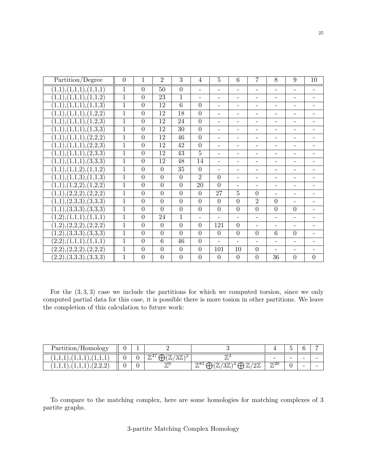| Partition/Degree        | $\overline{0}$ | $\mathbf{1}$   | $\overline{2}$  | $\overline{3}$  | $\overline{4}$ | $\overline{5}$           | $\overline{6}$           | 7                        | 8                        | 9                        | 10       |
|-------------------------|----------------|----------------|-----------------|-----------------|----------------|--------------------------|--------------------------|--------------------------|--------------------------|--------------------------|----------|
| (1,1),(1,1,1),(1,1,1)   | 1              | $\overline{0}$ | 50              | $\overline{0}$  |                |                          |                          |                          |                          |                          |          |
| (1,1),(1,1,1),(1,1,2)   | $\overline{1}$ | $\overline{0}$ | 23              | $\mathbf{1}$    |                | -                        | -                        | $\qquad \qquad -$        |                          | $\qquad \qquad -$        |          |
| (1,1), (1,1,1), (1,1,3) | $\mathbf{1}$   | $\overline{0}$ | 12              | 6               | $\overline{0}$ | -                        | $\overline{\phantom{a}}$ | $\overline{\phantom{0}}$ | -                        | $\qquad \qquad -$        |          |
| (1,1),(1,1,1),(1,2,2)   | 1              | $\overline{0}$ | 12              | 18              | $\overline{0}$ | $\overline{\phantom{0}}$ | $\overline{\phantom{a}}$ | -                        | $\overline{\phantom{a}}$ | $\qquad \qquad -$        |          |
| (1,1),(1,1,1),(1,2,3)   | $\mathbf{1}$   | $\overline{0}$ | 12              | 24              | $\overline{0}$ | $\overline{\phantom{0}}$ | $\qquad \qquad -$        | $\qquad \qquad -$        | -                        |                          |          |
| (1,1),(1,1,1),(1,3,3)   | 1              | $\theta$       | 12              | $\overline{30}$ | $\overline{0}$ | -                        |                          | $\qquad \qquad -$        |                          | $\overline{\phantom{0}}$ |          |
| (1,1),(1,1,1),(2,2,2)   | $\mathbf{1}$   | $\overline{0}$ | 12              | 46              | $\overline{0}$ | -                        | $\qquad \qquad -$        | $\qquad \qquad -$        |                          | $\overline{\phantom{0}}$ |          |
| (1,1),(1,1,1),(2,2,3)   | $\mathbf{1}$   | $\overline{0}$ | $\overline{12}$ | 42              | $\overline{0}$ | $\overline{\phantom{0}}$ | $\overline{\phantom{a}}$ | -                        | -                        | $\qquad \qquad -$        |          |
| (1,1),(1,1,1),(2,3,3)   | 1              | $\theta$       | 12              | 43              | $\overline{5}$ | -                        | $\qquad \qquad -$        | $\qquad \qquad -$        | -                        | $\qquad \qquad -$        |          |
| (1,1),(1,1,1),(3,3,3)   | $\mathbf{1}$   | $\overline{0}$ | 12              | 48              | 14             | $\overline{\phantom{0}}$ | -                        | $\qquad \qquad -$        | $\overline{\phantom{0}}$ |                          |          |
| (1,1),(1,1,2),(1,1,2)   | 1              | $\overline{0}$ | $\theta$        | $\overline{35}$ | $\theta$       | $\overline{\phantom{0}}$ |                          | $\overline{\phantom{0}}$ |                          |                          |          |
| (1,1),(1,1,3),(1,1,3)   | $\mathbf{1}$   | $\overline{0}$ | $\overline{0}$  | $\overline{0}$  | $\overline{2}$ | $\overline{0}$           | $\qquad \qquad -$        | $\overline{\phantom{0}}$ |                          | $\overline{\phantom{0}}$ |          |
| (1,1),(1,2,2),(1,2,2)   | $\mathbf{1}$   | $\overline{0}$ | $\overline{0}$  | $\overline{0}$  | 20             | $\overline{0}$           | -                        | -                        | $\overline{\phantom{a}}$ | $\qquad \qquad -$        |          |
| (1,1),(2,2,2),(2,2,2)   | $\mathbf 1$    | $\overline{0}$ | $\theta$        | $\overline{0}$  | $\overline{0}$ | 27                       | $\overline{5}$           | $\theta$                 | $\overline{\phantom{a}}$ | $\qquad \qquad -$        |          |
| (1,1),(2,3,3),(3,3,3)   | $\mathbf{1}$   | $\overline{0}$ | $\overline{0}$  | $\overline{0}$  | $\overline{0}$ | $\overline{0}$           | $\overline{0}$           | $\overline{2}$           | $\overline{0}$           | $\overline{\phantom{0}}$ |          |
| (1,1),(3,3,3),(3,3,3)   | $\mathbf{1}$   | $\overline{0}$ | $\theta$        | $\overline{0}$  | $\theta$       | $\overline{0}$           | $\overline{0}$           | $\overline{0}$           | $\overline{0}$           | $\overline{0}$           |          |
| (1,2),(1,1,1),(1,1,1)   | $\mathbf{1}$   | $\overline{0}$ | 24              | 1               |                |                          | $\qquad \qquad -$        | $\overline{\phantom{0}}$ | $\overline{\phantom{a}}$ | $\qquad \qquad -$        |          |
| (1,2),(2,2,2),(2,2,2)   | $\mathbf{1}$   | $\overline{0}$ | $\overline{0}$  | $\overline{0}$  | $\overline{0}$ | 121                      | $\overline{0}$           | $\overline{\phantom{0}}$ | $\overline{\phantom{a}}$ | $\qquad \qquad -$        |          |
| (1,2),(3,3,3),(3,3,3)   | 1              | $\theta$       | $\overline{0}$  | $\overline{0}$  | $\overline{0}$ | $\theta$                 | $\overline{0}$           | $\overline{0}$           | 6                        | $\overline{0}$           |          |
| (2,2),(1,1,1),(1,1,1)   | $\mathbf{1}$   | $\overline{0}$ | $\overline{6}$  | 46              | $\overline{0}$ | $\overline{a}$           | $\overline{\phantom{0}}$ |                          |                          |                          |          |
| (2,2),(2,2,2),(2,2,2)   | $\mathbf{1}$   | $\overline{0}$ | $\theta$        | $\overline{0}$  | $\overline{0}$ | 101                      | $\overline{10}$          | $\overline{0}$           |                          |                          |          |
| (2,2),(3,3,3),(3,3,3)   | $\mathbf{1}$   | $\theta$       | $\overline{0}$  | $\theta$        | $\overline{0}$ | $\overline{0}$           | $\theta$                 | $\overline{0}$           | 36                       | $\overline{0}$           | $\theta$ |

For the  $(3,3,3)$  case we include the partitions for which we computed torsion, since we only computed partial data for this case, it is possible there is more tosion in other partitions. We leave the completion of this calculation to future work:

| 'Homology<br>$Partition_{\ell}$                    | <b>.</b> |                                              |                                                                      |                          |   |   |  |
|----------------------------------------------------|----------|----------------------------------------------|----------------------------------------------------------------------|--------------------------|---|---|--|
| <b>1,1,1</b><br>.<br><b>1</b> ,1,1<br>$\cdot$<br>ᅩ |          | $\pi$ 4.<br>$\Omega$<br>$\mu$<br>◡<br>╨<br>ັ | -<br>$\gamma$ .                                                      | $\overline{\phantom{0}}$ | - | - |  |
| .<br><b>1.L.L</b><br>.<br>$\bullet$<br><b>.</b>    |          | 77 t<br>"                                    | $\sim$ m<br>77<br>7781<br>$\angle \mu$<br>$\mu$<br>Щ<br>╜<br>ഄ൰<br>┱ | 7720<br>$\mu$            | ` | - |  |

To compare to the matching complex, here are some homologies for matching complexes of 3 partite graphs.

# 3-partite Matching Complex Homology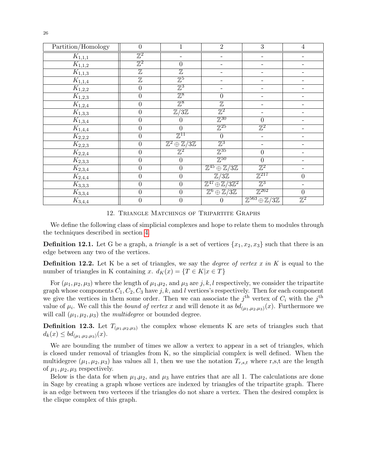| Partition/Homology      | $\boldsymbol{0}$          | $\mathbf 1$                                           | $\overline{2}$                                             | 3                                                           | $\overline{4}$   |
|-------------------------|---------------------------|-------------------------------------------------------|------------------------------------------------------------|-------------------------------------------------------------|------------------|
| $K_{\underline{1,1,1}}$ | $\mathbb{Z}^2$            |                                                       |                                                            |                                                             |                  |
| $K_{1,1,2}$             | $\overline{\mathbb{Z}^2}$ | $\theta$                                              |                                                            |                                                             |                  |
| $K_{1,1,3}$             | $\overline{\mathbb{Z}}$   | $\overline{\mathbb{Z}}$                               |                                                            |                                                             |                  |
| $K_{1,1,4}$             | $\overline{\mathbb{Z}}$   | $\mathbb{Z}^5$                                        |                                                            |                                                             |                  |
| $\overline{K_{1,2,2}}$  | $\boldsymbol{0}$          | $\mathbb{Z}^3$                                        |                                                            |                                                             |                  |
| $K_{1,2,3}$             | $\boldsymbol{0}$          | $\mathbb{Z}^8$                                        | $\boldsymbol{0}$                                           | $\overline{\phantom{0}}$                                    |                  |
| $\overline{K_{1,2,4}}$  | $\boldsymbol{0}$          | $\mathbb{Z}^8$                                        | $\mathbb Z$                                                | $\overline{\phantom{a}}$                                    |                  |
| $K_{1,3,3}$             | $\boldsymbol{0}$          | $\overline{\mathbb{Z}/3\mathbb{Z}}$                   | $\overline{\mathbb{Z}^2}$                                  |                                                             |                  |
| $K_{1,3,4}$             | $\boldsymbol{0}$          | $\theta$                                              | $\mathbb{Z}^{30}$                                          | $\theta$                                                    |                  |
| $K_{1,4,4}$             | $\boldsymbol{0}$          | $\overline{0}$                                        | $\mathbb{Z}^{25}$                                          | $\mathbb{Z}^2$                                              |                  |
| $\overline{K_{2,2,2}}$  | $\overline{0}$            | $\mathbb{Z}^{11}$                                     | $\boldsymbol{0}$                                           |                                                             |                  |
| $K_{2,2,3}$             | 0                         | $\overline{\mathbb{Z}^2\oplus\mathbb{Z}/3\mathbb{Z}}$ | $\mathbb{Z}^3$                                             |                                                             |                  |
| $K_{2,2,4}$             | $\boldsymbol{0}$          | $\mathbb{Z}^2$                                        | $\mathbb{Z}^{35}$                                          | $\overline{0}$                                              |                  |
| $K_{2,3,3}$             | $\boldsymbol{0}$          | $\boldsymbol{0}$                                      | $\mathbb{Z}^{50}$                                          | $\boldsymbol{0}$                                            |                  |
| $K_{2,3,4}$             | $\boldsymbol{0}$          | $\boldsymbol{0}$                                      | $\overline{\mathbb{Z}^{45} \oplus \mathbb{Z}/3\mathbb{Z}}$ | $\mathbb{Z}^2$                                              |                  |
| $K_{2,4,4}$             | $\boldsymbol{0}$          | $\overline{0}$                                        | $\mathbb{Z}/3\mathbb{Z}$                                   | $\mathbb{Z}^{217}$                                          | $\overline{0}$   |
| $\overline{K_{3,3,3}}$  | $\boldsymbol{0}$          | $\boldsymbol{0}$                                      | $\overline{\mathbb{Z}^{47}\oplus\mathbb{Z}/3\mathbb{Z}^2}$ | $\mathbb{Z}^3$                                              |                  |
| $K_{3,3,4}$             | $\boldsymbol{0}$          | $\boldsymbol{0}$                                      | $\overline{\mathbb{Z}^6\oplus\mathbb{Z}/3\mathbb{Z}}$      | $\mathbb{Z}^{262}$                                          | $\boldsymbol{0}$ |
| $K_{3,4,4}$             | $\boldsymbol{0}$          | $\boldsymbol{0}$                                      | $\boldsymbol{0}$                                           | $\overline{\mathbb{Z}^{563} \oplus \mathbb{Z}/3\mathbb{Z}}$ | $\mathbb{Z}^2$   |

12. Triangle Matchings of Tripartite Graphs

We define the following class of simplicial complexes and hope to relate them to modules through the techniques described in section [4.](#page-6-2)

**Definition 12.1.** Let G be a graph, a *triangle* is a set of vertices  $\{x_1, x_2, x_3\}$  such that there is an edge between any two of the vertices.

**Definition 12.2.** Let K be a set of triangles, we say the *degree of vertex x in* K is equal to the number of triangles in K containing x.  $d_K(x) = \{T \in K | x \in T\}$ 

For  $(\mu_1, \mu_2, \mu_3)$  where the length of  $\mu_1, \mu_2$ , and  $\mu_3$  are j, k, l respectively, we consider the tripartite graph whose components  $C_1, C_2, C_3$  have j, k, and l vertices's respectively. Then for each component we give the vertices in them some order. Then we can associate the  $j<sup>th</sup>$  vertex of  $C_i$  with the  $j<sup>th</sup>$ value of  $\mu_i$ . We call this the *bound of vertex x* and will denote it as  $bd_{(\mu_1,\mu_2,\mu_3)}(x)$ . Furthermore we will call  $(\mu_1, \mu_2, \mu_3)$  the *multidegree* or bounded degree.

**Definition 12.3.** Let  $T_{(\mu_1,\mu_2,\mu_3)}$  the complex whose elements K are sets of triangles such that  $d_k(x) \leq bd_{(\mu_1,\mu_2,\mu_3)}(x).$ 

We are bounding the number of times we allow a vertex to appear in a set of triangles, which is closed under removal of triangles from K, so the simplicial complex is well defined. When the multidegree  $(\mu_1, \mu_2, \mu_3)$  has values all 1, then we use the notation  $T_{r,s,t}$  where r,s,t are the length of  $\mu_1, \mu_2, \mu_3$  respectively.

Below is the data for when  $\mu_1,\mu_2$ , and  $\mu_3$  have entries that are all 1. The calculations are done in Sage by creating a graph whose vertices are indexed by triangles of the tripartite graph. There is an edge between two verteces if the triangles do not share a vertex. Then the desired complex is the clique complex of this graph.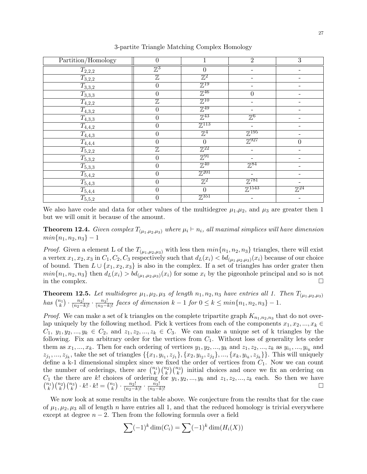| Partition/Homology                                                                                                                                   | $\theta$                |                               | $\overline{2}$      | 3                        |
|------------------------------------------------------------------------------------------------------------------------------------------------------|-------------------------|-------------------------------|---------------------|--------------------------|
| $T_{2,2,2}$                                                                                                                                          | $\mathbb{Z}^3$          | $\overline{0}$                |                     |                          |
| $T_{3,2,2}$                                                                                                                                          | $\overline{\mathbb{Z}}$ | $\mathbb{Z}^2$                |                     |                          |
| $T_{3,3,2}$                                                                                                                                          | $\overline{0}$          | $\mathbb{Z}^{19}$             |                     |                          |
| $T_{3,3,3}$                                                                                                                                          | $\overline{0}$          | $\mathbb{Z}^{46}$             | $\overline{0}$      |                          |
| $T_{4,2,2}$                                                                                                                                          | $\overline{\mathbb{Z}}$ | $\mathbb{Z}^{10}$             |                     |                          |
| $T_{4,3,2}$                                                                                                                                          | $\boldsymbol{0}$        | $\mathbb{Z}^{49}$             |                     |                          |
| $T_{4,3,3}$                                                                                                                                          | $\overline{0}$          | $\mathbb{Z}^{43}$             | $\mathbb{Z}^6$      |                          |
| $T_{4,4,2}$                                                                                                                                          | $\overline{0}$          | $\mathbb{Z}^{113}$            |                     | $\overline{\phantom{0}}$ |
| $\begin{array}{r} \n \stackrel{\bullet}{T_{4,4,3}} \ \hline T_{4,4,4} \ \hline T_{5,2,2} \ \hline T_{5,3,2} \ \hline T_{5,3,3} \ \hline \end{array}$ | $\boldsymbol{0}$        | $\mathbb{Z}^4$                | $\mathbb{Z}^{195}$  |                          |
|                                                                                                                                                      | $\overline{0}$          | $\overline{0}$                | $\mathbb{Z}^{927}$  | $\overline{0}$           |
|                                                                                                                                                      | $\overline{\mathbb{Z}}$ | $\mathbb{Z}^{22}$             |                     |                          |
|                                                                                                                                                      | $\overline{0}$          | $\mathbb{Z}^{91}$             |                     |                          |
|                                                                                                                                                      | $\overline{0}$          | $\mathbb{Z}^{40}$             | $\mathbb{Z}^{84}$   |                          |
| $T_{5,4,2}$                                                                                                                                          | $\overline{0}$          | $\mathbb{Z}^{201}$            |                     |                          |
| $\overline{T_{5,4,3}}$                                                                                                                               | $\boldsymbol{0}$        | $\mathbb{Z}^2$                | $\mathbb{Z}^{781}$  |                          |
| $T_{5,4,4}$                                                                                                                                          | $\overline{0}$          | $\theta$                      | $\mathbb{Z}^{1543}$ | $\mathbb{Z}^{24}$        |
| $T_{5,5,2}$                                                                                                                                          | $\boldsymbol{0}$        | $\overline{\mathbb{Z}}^{351}$ |                     |                          |

3-partite Triangle Matching Complex Homology

We also have code and data for other values of the multidegree  $\mu_1,\mu_2$ , and  $\mu_3$  are greater then 1 but we will omit it because of the amount.

**Theorem 12.4.** Given complex  $T_{(\mu_1,\mu_2,\mu_3)}$  where  $\mu_i \vdash n_i$ , all maximal simplices will have dimension  $min\{n_1, n_2, n_3\} - 1$ 

*Proof.* Given a element L of the  $T_{(\mu_1,\mu_2,\mu_3)}$  with less then  $min\{n_1, n_2, n_3\}$  triangles, there will exist a vertex  $x_1, x_2, x_3$  in  $C_1, C_2, C_3$  respectively such that  $d_L(x_i) < bd_{(\mu_1, \mu_2, \mu_3)}(x_i)$  because of our choice of bound. Then  $L \cup \{x_1, x_2, x_3\}$  is also in the complex. If a set of triangles has order grater then  $min\{n_1, n_2, n_3\}$  then  $d_L(x_i) > bd_{(\mu_1, \mu_2, \mu_3)}(x_i)$  for some  $x_i$  by the pigeonhole principal and so is not in the complex.

<span id="page-26-0"></span>**Theorem 12.5.** Let multidegree  $\mu_1, \mu_2, \mu_3$  of length  $n_1, n_2, n_3$  have entries all 1. Then  $T_{(\mu_1,\mu_2,\mu_3)}$ has  $\binom{n_1}{k} \cdot \frac{n_2!}{(n_2-k)!} \cdot \frac{n_3!}{(n_3-k)!}$  faces of dimension  $k-1$  for  $0 \le k \le min\{n_1, n_2, n_3\} - 1$ .

*Proof.* We can make a set of k triangles on the complete tripartite graph  $K_{n_1,n_2,n_3}$  that do not overlap uniquely by the following method. Pick k vertices from each of the components  $x_1, x_2, ..., x_k \in$  $C_1, y_1, y_2, \ldots, y_k \in C_2$ , and  $z_1, z_2, \ldots, z_k \in C_3$ . We can make a unique set of k triangles by the following. Fix an arbitrary order for the vertices from  $C_1$ . Without loss of generality lets order them as  $x_1, ..., x_k$ . Then for each ordering of vertices  $y_1, y_2, ..., y_k$  and  $z_1, z_2, ..., z_k$  as  $y_{i_1}, ..., y_{i_k}$  and  $z_{j_1},..., z_{j_k}$ , take the set of triangles  $\{\{x_1, y_{i_1}, z_{j_1}\}, \{x_2, y_{i_2}, z_{j_2}\}, ..., \{x_k, y_{i_k}, z_{j_k}\}\}\.$  This will uniquely define a k-1 dimensional simplex since we fixed the order of vertices from  $C_1$ . Now we can count the number of orderings, there are  $\binom{n_1}{k}\binom{n_2}{k}\binom{n_3}{k}$  initial choices and once we fix an ordering on  $C_1$  the there are k! choices of ordering for  $y_1, y_2, ..., y_k$  and  $z_1, z_2, ..., z_k$  each. So then we have  $\binom{n_1}{k}\binom{n_2}{k}\cdot k! \cdot k! = \binom{n_1}{k} \cdot \frac{n_2!}{(n_2-k)!} \cdot \frac{n_3!}{(n_3-k)!}$ 

We now look at some results in the table above. We conjecture from the results that for the case of  $\mu_1, \mu_2, \mu_3$  all of length n have entries all 1, and that the reduced homology is trivial everywhere except at degree  $n-2$ . Then from the following formula over a field

$$
\sum (-1)^k \dim(C_i) = \sum (-1)^k \dim(H_i(X))
$$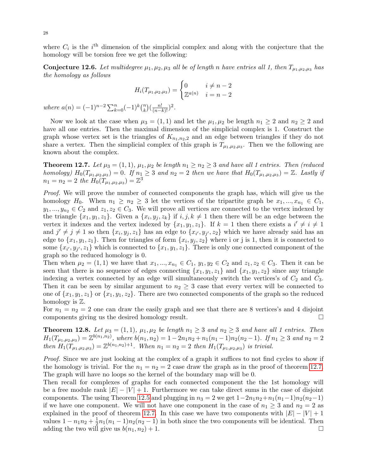where  $C_i$  is the i<sup>th</sup> dimension of the simplicial complex and along with the conjecture that the homology will be torsion free we get the following:

**Conjecture 12.6.** Let multidegree  $\mu_1, \mu_2, \mu_3$  all be of length n have entries all 1, then  $T_{\mu_1,\mu_2,\mu_3}$  has the homology as follows

$$
H_i(T_{\mu_1,\mu_2,\mu_3}) = \begin{cases} 0 & i \neq n-2 \\ \mathbb{Z}^{a(n)} & i = n-2 \end{cases}
$$

where  $a(n) = (-1)^{n-2} \sum_{k=0}^{n} (-1)^k {n \choose k}$  $\binom{n}{k} \left( \frac{n!}{(n-k)!} \right)^2$ .

Now we look at the case when  $\mu_3 = (1, 1)$  and let the  $\mu_1, \mu_2$  be length  $n_1 \geq 2$  and  $n_2 \geq 2$  and have all one entries. Then the maximal dimension of the simplicial complex is 1. Construct the graph whose vertex set is the triangles of  $K_{n_1,n_2,2}$  and an edge between triangles if they do not share a vertex. Then the simplicial complex of this graph is  $T_{\mu_1,\mu_2,\mu_3}$ . Then we the following are known about the complex.

<span id="page-27-0"></span>**Theorem 12.7.** Let  $\mu_3 = (1, 1), \mu_1, \mu_2$  be length  $n_1 \geq n_2 \geq 3$  and have all 1 entries. Then (reduced homology)  $H_0(T_{\mu_1,\mu_2,\mu_3})=0$ . If  $n_1\geq 3$  and  $n_2=2$  then we have that  $H_0(T_{\mu_1,\mu_2,\mu_3})=\mathbb{Z}$ . Lastly if  $n_1 = n_2 = 2$  the  $H_0(T_{\mu_1,\mu_2,\mu_3}) = \mathbb{Z}^3$ 

Proof. We will prove the number of connected components the graph has, which will give us the homology H<sub>0</sub>. When  $n_1 \geq n_2 \geq 3$  let the vertices of the tripartite graph be  $x_1, ..., x_{n_1} \in C_1$ ,  $y_1, ..., y_{n_2} \in C_2$  and  $z_1, z_2 \in C_3$ . We will prove all vertices are connected to the vertex indexed by the triangle  $\{x_1, y_1, z_1\}$ . Given a  $\{x_i, y_j, z_k\}$  if  $i, j, k \neq 1$  then there will be an edge between the vertex it indexes and the vertex indexed by  $\{x_1, y_1, z_1\}$ . If  $k = 1$  then there exists a  $i' \neq i \neq 1$ and  $j' \neq j \neq 1$  so then  $\{x_i, y_j, z_1\}$  has an edge to  $\{x_{i'}, y_{j'}, z_2\}$  which we have already said has an edge to  $\{x_1, y_1, z_1\}$ . Then for triangles of form  $\{x_i, y_j, z_2\}$  where i or j is 1, then it is connected to some  $\{x_{i'}, y_{j'}, z_1\}$  which is connected to  $\{x_1, y_1, z_1\}$ . There is only one connected component of the graph so the reduced homology is 0.

Then when  $\mu_2 = (1, 1)$  we have that  $x_1, ..., x_{n_1} \in C_1$ ,  $y_1, y_2 \in C_2$  and  $z_1, z_2 \in C_3$ . Then it can be seen that there is no sequence of edges connecting  $\{x_1, y_1, z_1\}$  and  $\{x_1, y_1, z_2\}$  since any triangle indexing a vertex connected by an edge will simultaneously switch the vertices's of  $C_2$  and  $C_3$ . Then it can be seen by similar argument to  $n_2 \geq 3$  case that every vertex will be connected to one of  $\{x_1, y_1, z_1\}$  or  $\{x_1, y_1, z_2\}$ . There are two connected components of the graph so the reduced homology is Z.

For  $n_1 = n_2 = 2$  one can draw the easily graph and see that there are 8 vertices's and 4 disjoint components giving us the desired homology result.

**Theorem 12.8.** Let  $\mu_3 = (1, 1)$ ,  $\mu_1, \mu_2$  be length  $n_1 \geq 3$  and  $n_2 \geq 3$  and have all 1 entries. Then  $H_1(T_{\mu_1,\mu_2,\mu_3}) = \mathbb{Z}^{b(n_1,n_2)}$ , where  $b(n_1,n_2) = 1 - 2n_1n_2 + n_1(n_1-1)n_2(n_2-1)$ . If  $n_1 \geq 3$  and  $n_2 = 2$ then  $H_1(T_{\mu_1,\mu_2,\mu_3}) = \mathbb{Z}^{b(n_1,n_2)+1}$ . When  $n_1 = n_2 = 2$  then  $H_1(T_{\mu_1,\mu_2,\mu_3})$  is trivial.

Proof. Since we are just looking at the complex of a graph it suffices to not find cycles to show if the homology is trivial. For the  $n_1 = n_2 = 2$  case draw the graph as in the proof of theorem [12.7.](#page-27-0) The graph will have no loops so the kernel of the boundary map will be 0.

Then recall for complexes of graphs for each connected component the the 1st homology will be a free module rank  $|E| - |V| + 1$ . Furthermore we can take direct sums in the case of disjoint components. The using Theorem [12.5](#page-26-0) and plugging in  $n_3 = 2$  we get  $1 - 2n_1n_2 + n_1(n_1-1)n_2(n_2-1)$ if we have one component. We will not have one component in the case of  $n_1 \geq 3$  and  $n_2 = 2$  as explained in the proof of theorem [12.7.](#page-27-0) In this case we have two components with  $|E| - |V| + 1$ values  $1 - n_1 n_2 + \frac{1}{2}$  $\frac{1}{2}n_1(n_1-1)n_2(n_2-1)$  in both since the two components will be identical. Then adding the two will give us  $b(n_1, n_2) + 1$ .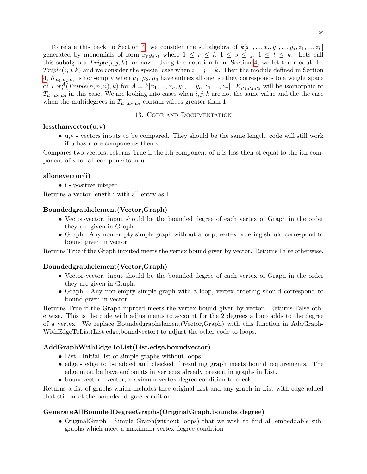To relate this back to Section [4,](#page-6-2) we consider the subalgebra of  $k[x_1, ..., x_i, y_1, ..., y_j, z_1, ..., z_k]$ generated by monomials of form  $x_ry_sz_t$  where  $1 \leq r \leq i, 1 \leq s \leq j, 1 \leq t \leq k$ . Lets call this subalgebra  $Triple(i, j, k)$  for now. Using the notation from Section [4,](#page-6-2) we let the module be Triple(i, j, k) and we consider the special case when  $i = j = k$ . Then the module defined in Section [4,](#page-6-2)  $K_{\mu_1,\mu_2,\mu_3}$  is non-empty when  $\mu_1,\mu_2,\mu_3$  have entries all one, so they corresponds to a weight space of  $Tor_i^A(Triple(n, n, n), k)$  for  $A = k[x_1, ..., x_n, y_1, ..., y_n, z_1, ..., z_n]$ .  $K_{\mu_1, \mu_2, \mu_3}$  will be isomorphic to  $T_{\mu_1,\mu_2,\mu_3}$  in this case. We are looking into cases when  $i, j, k$  are not the same value and the the case when the multidegrees in  $T_{\mu_1,\mu_2,\mu_3}$  contain values greater than 1.

## 13. Code and Documentation

### <span id="page-28-0"></span> $less than vector(u,v)$

• u,v - vectors inputs to be compared. They should be the same length, code will still work if u has more components then v.

Compares two vectors, returns True if the ith component of u is less then of equal to the ith component of v for all components in u.

## allonevector(i)

• i - positive integer

Returns a vector length i with all entry as 1.

### Boundedgraphelement(Vector,Graph)

- Vector-vector, input should be the bounded degree of each vertex of Graph in the order they are given in Graph.
- Graph Any non-empty simple graph without a loop, vertex ordering should correspond to bound given in vector.

Returns True if the Graph inputed meets the vertex bound given by vector. Returns False otherwise.

#### Boundedgraphelement(Vector,Graph)

- Vector-vector, input should be the bounded degree of each vertex of Graph in the order they are given in Graph.
- Graph Any non-empty simple graph with a loop, vertex ordering should correspond to bound given in vector.

Returns True if the Graph inputed meets the vertex bound given by vector. Returns False otherwise. This is the code with adjustments to account for the 2 degrees a loop adds to the degree of a vertex. We replace Boundedgraphelement(Vector,Graph) with this function in AddGraph-WithEdgeToList(List,edge,boundvector) to adjust the other code to loops.

## AddGraphWithEdgeToList(List,edge,boundvector)

- List Initial list of simple graphs without loops
- edge edge to be added and checked if resulting graph meets bound requirements. The edge must be have endpoints in verteces already present in graphs in List.
- boundvector vector, maximum vertex degree condition to check.

Returns a list of graphs which includes thee original List and any graph in List with edge added that still meet the bounded degree condition.

## GenerateAllBoundedDegreeGraphs(OriginalGraph,boundeddegree)

• OriginalGraph - Simple Graph(without loops) that we wish to find all embeddable subgraphs which meet a maximum vertex degree condition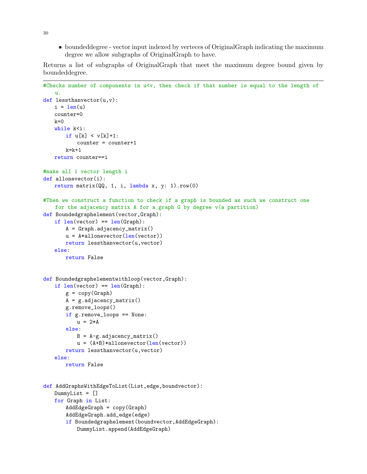• boundeddegree - vector input indexed by verteces of OriginalGraph indicating the maximum degree we allow subgraphs of OriginalGraph to have.

Returns a list of subgraphs of OriginalGraph that meet the maximum degree bound given by boundeddegree.

```
#Checks number of components in u<v, then check if that number is equal to the length of
   u.
def lessthanvector(u,v):
   i = len(u)counter=0
   k=0while k<i:
       if u[k] < v[k]+1:
           counter = counter+1k=k+1return counter==i
#make all 1 vector length i
def allonevector(i):
   return matrix(QQ, 1, i, lambda x, y: 1).row(0)
#Then we construct a function to check if a graph is bounded as such we construct one
   for the adjacency matrix A for a graph G by degree v(a partition)
def Boundedgraphelement(vector,Graph):
   if len(vector) == len(Graph):
       A = Graph.addiacency_matrix()u = A*allonevector(len(vector))
       return lessthanvector(u,vector)
   else:
       return False
def Boundedgraphelementwithloop(vector,Graph):
   if len(vector) == len(Graph):
       g = copy(Graph)A = g.addiacency_matrix()g.remove_loops()
       if g.remove_loops == None:
          u = 2*Aelse:
          B = A-g.addiacency_matrix()u = (A+B)*all one vector(len(vector))return lessthanvector(u,vector)
   else:
       return False
def AddGraphsWithEdgeToList(List, edge, boundvector):
   DummyList = []
   for Graph in List:
       AddEdgeGraph = copy(Graph)
       AddEdgeGraph.add_edge(edge)
       if Boundedgraphelement(boundvector,AddEdgeGraph):
          DummyList.append(AddEdgeGraph)
```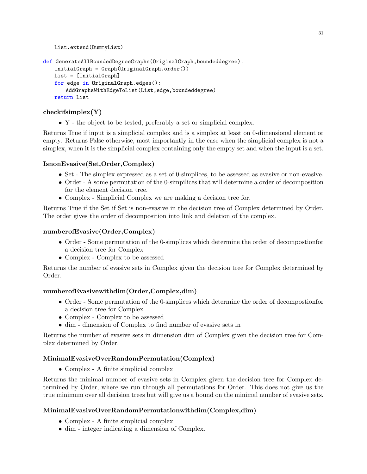```
def GenerateAllBoundedDegreeGraphs(OriginalGraph,boundeddegree):
   InitialGraph = Graph(OriginalGraph.order())
   List = [InitialGraph]
   for edge in OriginalGraph.edges():
       AddGraphsWithEdgeToList(List,edge,boundeddegree)
   return List
```
# checkifsimplex(Y)

List.extend(DummyList)

• Y - the object to be tested, preferably a set or simplicial complex.

Returns True if input is a simplicial complex and is a simplex at least on 0-dimensional element or empty. Returns False otherwise, most importantly in the case when the simplicial complex is not a simplex, when it is the simplicial complex containing only the empty set and when the input is a set.

# IsnonEvasive(Set,Order,Complex)

- Set The simplex expressed as a set of 0-simplices, to be assessed as evasive or non-evasive.
- Order A some permutation of the 0-simpilices that will determine a order of decomposition for the element decision tree.
- Complex Simplicial Complex we are making a decision tree for.

Returns True if the Set if Set is non-evasive in the decision tree of Complex determined by Order. The order gives the order of decomposition into link and deletion of the complex.

# numberofEvasive(Order,Complex)

- Order Some permutation of the 0-simplices which determine the order of decompostionfor a decision tree for Complex
- Complex Complex to be assessed

Returns the number of evasive sets in Complex given the decision tree for Complex determined by Order.

# numberofEvasivewithdim(Order,Complex,dim)

- Order Some permutation of the 0-simplices which determine the order of decompostionfor a decision tree for Complex
- Complex Complex to be assessed
- dim dimension of Complex to find number of evasive sets in

Returns the number of evasive sets in dimension dim of Complex given the decision tree for Complex determined by Order.

# MinimalEvasiveOverRandomPermutation(Complex)

• Complex - A finite simplicial complex

Returns the minimal number of evasive sets in Complex given the decision tree for Complex determined by Order, where we run through all permutations for Order. This does not give us the true minimum over all decision trees but will give us a bound on the minimal number of evasive sets.

# MinimalEvasiveOverRandomPermutationwithdim(Complex,dim)

- Complex A finite simplicial complex
- dim integer indicating a dimension of Complex.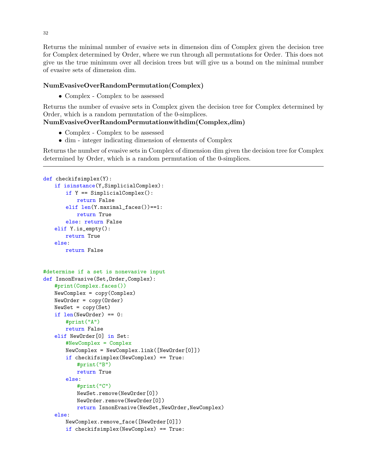Returns the minimal number of evasive sets in dimension dim of Complex given the decision tree for Complex determined by Order, where we run through all permutations for Order. This does not give us the true minimum over all decision trees but will give us a bound on the minimal number of evasive sets of dimension dim.

# NumEvasiveOverRandomPermutation(Complex)

• Complex - Complex to be assessed

Returns the number of evasive sets in Complex given the decision tree for Complex determined by Order, which is a random permutation of the 0-simplices.

# NumEvasiveOverRandomPermutationwithdim(Complex,dim)

- Complex Complex to be assessed
- dim integer indicating dimension of elements of Complex

Returns the number of evasive sets in Complex of dimension dim given the decision tree for Complex determined by Order, which is a random permutation of the 0-simplices.

```
def checkifsimplex(Y):
   if isinstance(Y,SimplicialComplex):
       if Y == SimplicialComplex():
           return False
       elif len(Y.maximal_faces())==1:
          return True
       else: return False
   elif Y.is_empty():
       return True
   else:
       return False
#determine if a set is nonevasive input
def IsnonEvasive(Set, Order, Complex):
   #print(Complex.faces())
   NewComplex = copy(Complex)
   NewOrder = copy(Order)
   NewSet = copy(Set)
   if len(NewOrder) == 0:
       #print("A")
       return False
   elif NewOrder[0] in Set:
       #NewComplex = Complex
       NewComplex = NewComplex.link([NewOrder[0]])
       if checkifsimplex(NewComplex) == True:
           #print("B")
          return True
       else:
           #print("C")
           NewSet.remove(NewOrder[0])
          NewOrder.remove(NewOrder[0])
           return IsnonEvasive(NewSet,NewOrder,NewComplex)
   else:
       NewComplex.remove_face([NewOrder[0]])
       if checkifsimplex(NewComplex) == True:
```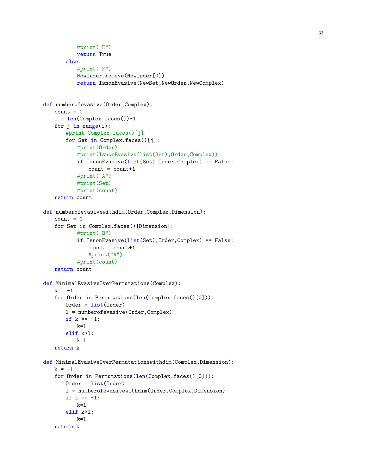```
#print("E")
          return True
       else:
          #print("F")
          NewOrder.remove(NewOrder[0])
          return IsnonEvasive(NewSet,NewOrder,NewComplex)
def numberofevasive(Order,Complex):
   count = 0i = len(Complex.faces()) - 1for j in range(i):
       #print Complex.faces()[j]
       for Set in Complex.faces()[j]:
           #print(Order)
           #print(IsnonEvasive(list(Set),Order,Complex))
          if IsnonEvasive(list(Set),Order,Complex) == False:
              count = count + 1#print("A")
           #print(Set)
           #print(count)
   return count
def numberofevasivewithdim(Order, Complex, Dimension):
   count = 0for Set in Complex.faces()[Dimension]:
           #print("B")
           if IsnonEvasive(list(Set),Order,Complex) == False:
              count = count + 1#print("A")
          #print(count)
   return count
def MinimalEvasiveOverPermutations(Complex):
   k = -1for Order in Permutations(len(Complex.faces()[0])):
       Order = list(Order)
       l = numberofevasive(Order,Complex)
       if k == -1:
          k=1elif k>l:
          k=1return k
def MinimalEvasiveOverPermutationswithdim(Complex,Dimension):
   k = -1for Order in Permutations (len(Complex.faces()[0])):
       Order = list(Order)l = numberofevasivewithdim(Order,Complex,Dimension)
       if k == -1:
          k=1elif k>l:
          k=1return k
```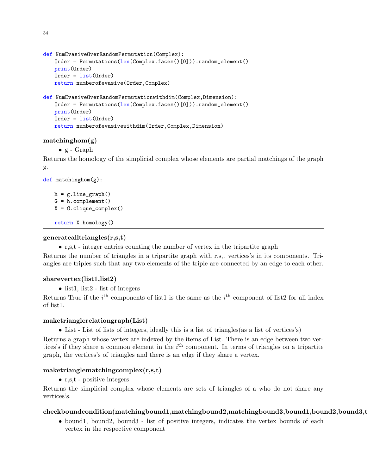```
def NumEvasiveOverRandomPermutation(Complex):
   Order = Permutations(len(Complex.faces()[0])).random_element()
   print(Order)
   Order = list(Order)
   return numberofevasive(Order,Complex)
def NumEvasiveOverRandomPermutationwithdim(Complex,Dimension):
   Order = Permutations(len(Complex.faces()[0])).random_element()
   print(Order)
   Order = list(Order)
   return numberofevasivewithdim(Order,Complex,Dimension)
```
## matchinghom(g)

•  $g - Graph$ 

Returns the homology of the simplicial complex whose elements are partial matchings of the graph g.

```
def matchinghom(g):
```

```
h = gu.line_graph()
G = h.compilement()X = G.clique_complex()
return X.homology()
```
# generatealltriangles(r,s,t)

• r,s,t - integer entries counting the number of vertex in the tripartite graph

Returns the number of triangles in a tripartite graph with r,s,t vertices's in its components. Triangles are triples such that any two elements of the triple are connected by an edge to each other.

## sharevertex(list1,list2)

• list1, list2 - list of integers

Returns True if the  $i<sup>th</sup>$  components of list1 is the same as the  $i<sup>th</sup>$  component of list2 for all index of list1.

## maketrianglerelationgraph(List)

• List - List of lists of integers, ideally this is a list of triangles(as a list of vertices's)

Returns a graph whose vertex are indexed by the items of List. There is an edge between two vertices's if they share a common element in the  $i<sup>th</sup>$  component. In terms of triangles on a tripartite graph, the vertices's of triangles and there is an edge if they share a vertex.

## maketrianglematchingcomplex(r,s,t)

• r,s,t - positive integers

Returns the simplicial complex whose elements are sets of triangles of a who do not share any vertices's.

# checkboundcondition(matchingbound1,matchingbound2,matchingbound3,bound1,bound2,bound3,t

• bound1, bound2, bound3 - list of positive integers, indicates the vertex bounds of each vertex in the respective component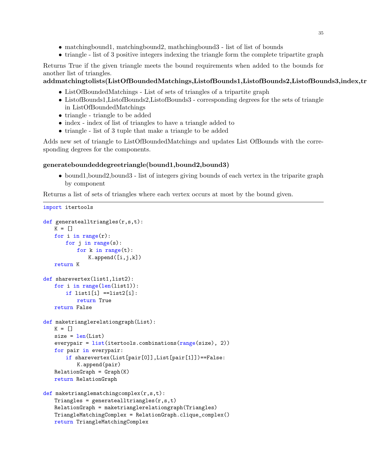- matchingbound1, matchingbound2, mathchingbound3 list of list of bounds
- triangle list of 3 positive integers indexing the triangle form the complete tripartite graph

Returns True if the given triangle meets the bound requirements when added to the bounds for another list of triangles.

addmatchingtolists(ListOfBoundedMatchings,ListofBounds1,ListofBounds2,ListofBounds3,index,tr

- ListOfBoundedMatchings List of sets of triangles of a tripartite graph
- ListofBounds1,ListofBounds2,ListofBounds3 corresponding degrees for the sets of triangle in ListOfBoundedMatchings
- triangle triangle to be added
- index index of list of triangles to have a triangle added to
- triangle list of 3 tuple that make a triangle to be added

Adds new set of triangle to ListOfBoundedMatchings and updates List OfBounds with the corresponding degrees for the components.

# generateboundeddegreetriangle(bound1,bound2,bound3)

• bound1,bound2,bound3 - list of integers giving bounds of each vertex in the triparite graph by component

Returns a list of sets of triangles where each vertex occurs at most by the bound given.

```
import itertools
```

```
def generatealltriangles(r,s,t):
   K = []for i in range(r):
       for j in range(s):
           for k in range(t):
              K.append([i,j,k])return K
def sharevertex(list1,list2):
   for i in range(len(list1)):
       if list1[i] ==list2[i]:
          return True
   return False
def maketrianglerelationgraph(List):
   K = \lceil \rceilsize = len(List)everypair = list(itertools.combinations(range(size), 2))
   for pair in everypair:
       if sharevertex(List[pair[0]],List[pair[1]])==False:
           K.append(pair)
   RelationGraph = Graph(K)return RelationGraph
def maketrianglematchingcomplex(r,s,t):
   Triangle = generatedlltriangles(r,s,t)RelationGraph = maketrianglerelationgraph(Triangles)
   TriangleMatchingComplex = RelationGraph.clique_complex()
   return TriangleMatchingComplex
```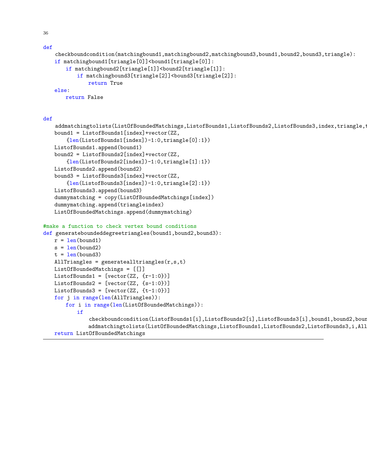36

def

```
checkboundcondition(matchingbound1,matchingbound2,matchingbound3,bound1,bound2,bound3,triangle):
if matchingbound1[triangle[0]]<br/>bound1[triangle[0]]:
   if matchingbound2[triangle[1]]<br/>bound2[triangle[1]]:
       if matchingbound3[triangle[2]]<br/>bound3[triangle[2]]:
           return True
else:
   return False
```
addmatchingtolists(ListOfBoundedMatchings,ListofBounds1,ListofBounds2,ListofBounds3,index,triangle,t

def

```
bound1 = ListofBounds1[index]+vector(ZZ,
       {len(ListofBounds1[index])-1:0,triangle[0]:1})
   ListofBounds1.append(bound1)
   bound2 = ListofBounds2[index]+vector(ZZ,
       {len(ListofBounds2[index])-1:0,triangle[1]:1})
   ListofBounds2.append(bound2)
   bound3 = ListofBounds3[index]+vector(ZZ,
       {len(ListofBounds3[index])-1:0,triangle[2]:1})
   ListofBounds3.append(bound3)
   dummymatching = copy(ListOfBoundedMatchings[index])
   dummymatching.append(triangleindex)
   ListOfBoundedMatchings.append(dummymatching)
#make a function to check vertex bound conditions
def generateboundeddegreetriangles(bound1,bound2,bound3):
   r = len(bound1)s = len(bound2)t = len(bound3)AllTriangles = generatealltriangles(r,s,t)ListOfBoundedMatchings = [[]]
   ListofBounds1 = [vector(ZZ, {r-1:0})]ListofBounds2 = [vector(ZZ, {s-1:0})]ListofBounds3 = [vector(ZZ, {t-1:0})]for j in range(len(AllTriangles)):
```
checkboundcondition(ListofBounds1[i],ListofBounds2[i],ListofBounds3[i],bound1,bound2,bour addmatchingtolists(ListOfBoundedMatchings,ListofBounds1,ListofBounds2,ListofBounds3,i,All

for i in range(len(ListOfBoundedMatchings)):

if

return ListOfBoundedMatchings